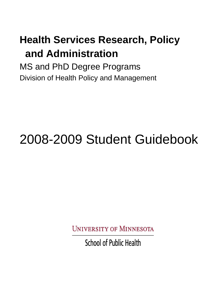# **Health Services Research, Policy and Administration**

MS and PhD Degree Programs Division of Health Policy and Management

# 2008-2009 Student Guidebook

**UNIVERSITY OF MINNESOTA** 

**School of Public Health**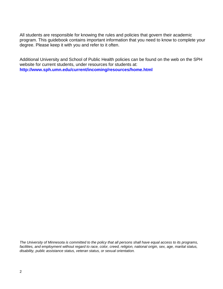All students are responsible for knowing the rules and policies that govern their academic program. This guidebook contains important information that you need to know to complete your degree. Please keep it with you and refer to it often.

Additional University and School of Public Health policies can be found on the web on the SPH website for current students, under resources for students at: **<http://www.sph.umn.edu/current/incoming/resources/home.html>**

*The University of Minnesota is committed to the policy that all persons shall have equal access to its programs, facilities, and employment without regard to race, color, creed, religion, national origin, sex, age, marital status, disability, public assistance status, veteran status, or sexual orientation.*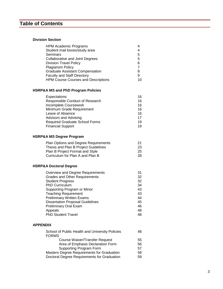## **Table of Contents**

## **Division Section**

| <b>HPM Academic Programs</b><br>Student mail boxes/study area<br>Seminars<br><b>Collaborative and Joint Degrees</b><br><b>Division Travel Policy</b><br>Plagiarism Policy<br><b>Graduate Assistant Compensation</b><br><b>Faculty and Staff Directory</b><br><b>HPM Course Courses and Descriptions</b>                                    | 4<br>4<br>5<br>5<br>6<br>$\overline{7}$<br>8<br>9<br>10        |
|--------------------------------------------------------------------------------------------------------------------------------------------------------------------------------------------------------------------------------------------------------------------------------------------------------------------------------------------|----------------------------------------------------------------|
| HSRP&A MS and PhD Program Policies                                                                                                                                                                                                                                                                                                         |                                                                |
| Expectations<br>Responsible Conduct of Research<br>Incomplete Coursework<br>Minimum Grade Requirement<br>Leave of Absence<br><b>Advisors and Advising</b><br><b>Required Graduate School Forms</b><br><b>Financial Support</b>                                                                                                             | 16<br>16<br>16<br>16<br>16<br>17<br>19<br>19                   |
| <b>HSRP&amp;A MS Degree Program</b>                                                                                                                                                                                                                                                                                                        |                                                                |
| Plan Options and Degree Requirements<br>Thesis and Plan B Project Guidelines<br>Plan B Project Format and Style<br>Curriculum for Plan A and Plan B                                                                                                                                                                                        | 21<br>23<br>25<br>28                                           |
| <b>HSRP&amp;A Doctoral Degree</b>                                                                                                                                                                                                                                                                                                          |                                                                |
| Overview and Degree Requirements<br><b>Grades and Other Requirements</b><br><b>Student Progress</b><br>PhD Curriculum<br>Supporting Program or Minor<br><b>Teaching Requirement</b><br><b>Preliminary Written Exams</b><br><b>Dissertation Proposal Guidelines</b><br><b>Preliminary Oral Exam</b><br>Appeals<br><b>PhD Student Travel</b> | 31<br>32<br>32<br>34<br>43<br>43<br>44<br>45<br>46<br>48<br>48 |
| <b>APPENDIX</b>                                                                                                                                                                                                                                                                                                                            |                                                                |
| School of Public Health and University Policies<br><b>FORMS</b>                                                                                                                                                                                                                                                                            | 48                                                             |

| Course Waiver/Transfer Request              | 55<br>56. |
|---------------------------------------------|-----------|
|                                             |           |
| Area of Emphasis Declaration Form           |           |
| Supporting Program Form                     | 57        |
| Masters Degree Requirements for Graduation  | 58.       |
| Doctoral Degree Requirements for Graduation | 59.       |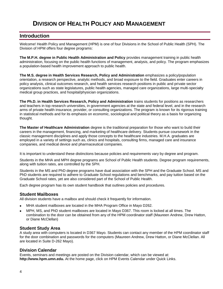## **DIVISION OF HEALTH POLICY AND MANAGEMENT**

## **Introduction**

Welcome! Health Policy and Management (HPM) is one of four Divisions in the School of Public Health (SPH). The Division of HPM offers four degree programs:

**The M.P.H. degree in Public Health Administration and Policy** provides management training in public health administration, focusing on the public health functions of management, analysis, and policy. The program emphasizes a population-based health improvement approach to public health.

**The M.S. degree in Health Services Research, Policy and Administration** emphasizes a policy/population orientation, a research perspective, analytic methods, and broad exposure to the field. Graduates enter careers in policy analysis, clinical outcomes research, and health services research positions in public and private sector organizations such as state legislatures, public health agencies, managed care organizations, large multi-specialty medical group practices, and hospital/physician organizations.

**The Ph.D. in Health Services Research, Policy and Administration** trains students for positions as researchers and teachers in top research universities, in government agencies at the state and federal level, and in the research arms of private health insurance, provider, or consulting organizations. The program is known for its rigorous training in statistical methods and for its emphasis on economic, sociological and political theory as a basis for organizing thought.

**The Master of Healthcare Administration** degree is the traditional preparation for those who want to build their careers in the management, financing, and marketing of healthcare delivery. Students pursue coursework in the classic management disciplines and apply those concepts to the healthcare industries. M.H.A. graduates are employed in a variety of settings such as, clinics and hospitals, consulting firms, managed care and insurance companies, and medical device and pharmaceutical companies.

It is important to understand these distinctions because policies and requirements vary by degree and program.

Students in the MHA and MPH degree programs are School of Public Health students. Degree program requirements, along with tuition rates, are controlled by the SPH.

Students in the MS and PhD degree programs have dual association with the SPH and the Graduate School. MS and PhD students are required to adhere to Graduate School regulations and benchmarks, and pay tuition based on the Graduate School rates, yet are also considered part of the School of Public Health.

Each degree program has its own student handbook that outlines policies and procedures.

## **Student Mailboxes**

All division students have a mailbox and should check it frequently for information.

- MHA student mailboxes are located in the MHA Program Office in Mayo D262.
- MPH, MS, and PhD student mailboxes are located in Mayo D367. This room is locked at all times. The combination to the door can be obtained from any of the HPM coordinator staff (Maureen Andrew, Drew Hatton, or Diane McClellan)

## **Student Study Area**

A study area with computers is located in D367 Mayo. Students can contact any member of the HPM coordinator staff for the door combination and passwords for the computers (Maureen Andrew, Drew Hatton, or Diane McClellan. All are located in Suite D-262 Mayo).

## **Division Calendar**

Events, seminars and meetings are posted on the Division calendar, which can be viewed at: **http://www.hpm.umn.edu.** At the home page, click on HPM Events Calendar under Quick Links.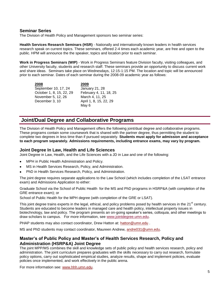## **Seminar Series**

The Division of Health Policy and Management sponsors two seminar series:

**Health Services Research Seminars (HSR)** - Nationally and internationally known leaders in health services research speak on current topics. These seminars, offered 2-4 times each academic year, are free and open to the public. HPM will announce the the speaker, topics and location prior to each seminar.

**Work in Progress Seminars (WIP)** - Work in Progress Seminars feature Division faculty, visiting colleagues, and other University faculty, students and research staff. These seminars provide an opportunity to discuss current work and share ideas. Seminars take place on Wednesdays, 12:15-1:15 PM. The location and topic will be announced prior to each seminar. Dates of each seminar during the 2008-09 academic year as follows:

**2008** September 10, 17, 24 October 1, 8, 15, 22, 29 November 5, 12, 26 December 3, 10 **2009** January 21, 28 February 4, 11, 18, 25 March 4, 11, 25 April 1, 8, 15, 22, 29 May 6

## **Joint/Dual Degree and Collaborative Programs**

The Division of Health Policy and Management offers the following joint/dual degree and collaborative programs. These programs contain some coursework that is shared with the partner degree, thus permitting the student to complete two degrees in less time than if pursued separately. **Students must apply for admission and acceptance to each program separately. Admissions requirements, including entrance exams, may vary by program.**

## **Joint Degree In Law, Health and Life Sciences**

Joint Degree in Law, Health, and the Life Sciences with a JD in Law and one of the following:

- MPH in Public Health Administration and Policy.
- MS in Health Services Research, Policy, and Administration.
- PhD in Health Services Research, Policy, and Administration.

The joint degree requires separate applications to the Law School (which includes completion of the LSAT entrance exam) and Admissions Application to either:

Graduate School via the School of Public Health for the MS and PhD programs in HSRP&A (with completion of the GRE entrance exam); or

School of Public Health for the MPH degree (with completion of the GRE or LSAT).

This joint degree trains experts in the legal, ethical, and policy problems posed by health services in the  $21<sup>st</sup>$  century. Students are educated to become leaders in managed care and health policy, intellectual property issues in biotechnology, law and policy. The program presents an on-going speaker's series, colloquia, and other meetings to draw scholars to campus. For more information, see [www.jointdegree.umn.edu.](http://www.jointdegree.umn.edu/)

PHAP students may also contact coordinator, Drew Hatton at: [hatton@umn.edu](mailto:hatton@umn.edu).

MS and PhD students may contact coordinator, Maureen Andrew, [andre031@umn.edu.](mailto:andre031@umn.edu)

## **Master's of Public Policy and Master's of Health Services Research, Policy and Administration (HSRP&A) Joint Degree**

The joint MPP/MS combines the skill and knowledge sets of public policy and health services research, policy and administration. The joint curriculum prepares graduates with the skills necessary to carry out research, formulate policy options, carry out sophisticated empirical studies, analyze results, shape and implement policies, evaluate policies once implemented, and work effectively in the public arena.

For more information see: www.hhh.umn.edu.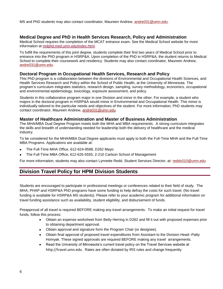MS and PhD students may also contact coordinator, Maureen Andrew, [andre031@umn.edu.](mailto:andre031@umn.edu)

## **Medical Degree and PhD in Health Services Research, Policy and Administration**

Medical School requires the completion of the MCAT entrance exam. See the Medical School website for more information at [mdphd.med.umn.edu/index.html.](http://mdphd.med.umn.edu/index.html)

To fulfill the requirements of this joint degree, students complete their first two years of Medical School prior to entrance into the PhD program in HSRP&A. Upon completion of the PhD in HSRP&A, the student returns to Medical School to complete their coursework and residency. Students may also contact coordinator, Maureen Andrew, [andre031@umn.edu.](mailto:andre031@umn.edu) 

## **Doctoral Program in Occupational Health Services, Research and Policy**

This PhD program is a collaboration between the divisions of Environmental and Occupational Health Sciences, and Health Services Research and Policy within the School of Public Health, at the University of Minnesota. The program's curriculum integrates statistics, research design, sampling, survey methodology, economics, occupational and environmental epidemiology, toxicology, exposure assessment, and policy.

Students in this collaborative program major in one Division and minor in the other. For example, a student who majors in the doctoral program in HSRP&A would minor in Environmental and Occupational Health. This minor is individually tailored to the particular needs and objectives of the student. For more information, PhD students may contact coordinator, Maureen Andrew, [andre031@umn.edu.](mailto:andre031@umn.edu)

## **Master of Healthcare Administration and Master of Business Administration**

The MHA/MBA Dual Degree Program meets both the MHA and MBA requirements. A strong curriculum integrates the skills and breadth of understanding needed for leadership both the delivery of healthcare and the medical industry.

To be considered for the MHA/MBA Dual Degree applicants must apply to both the Full-Time MHA and the Full-Time MBA Programs. Applications are available at:

- The Full-Time MHA Office, 612-624-9588, D262 Mayo
- The Full-Time MBA Office, 612-625-5555, 2-210 Carlson School of Management

For more information, students may also contact Lynnette Redd, Student Services Director, at: reddx010@umn.edu

## **Division Travel Policy for HPM Division Students**

Students are encouraged to participate in professional meetings or conferences related to their field of study. The MHA, PHAP and HSRP&A PhD programs have some funding to help defray the costs for such travel. (No travel funding is available for HSRP&A MS students). Please refer to your academic program for additional information on travel funding assistance such as availability, student eligibility, and disbursement of funds.

Preapproval of all travel is required BEFORE making any travel arrangements. To make an initial request for travel funds, follow this process:

- Obtain an expense worksheet from Betty Herring in D262 and fill it out with proposed expenses prior to obtaining department approval.
- Obtain approval and signature form the Program Chair (or designee).
- Obtain final approval of proposed travel expenditures from Assistant to the Division Head--Patty Homyak. These signed approvals are required BEFORE making any travel arrangements.
- $\bullet$ Read the University of Minnesota's current travel policy on the Travel Services website at [http://travel.umn.](http://travel.umn./)edu. Rates are often dictated by IRS rules and change frequently.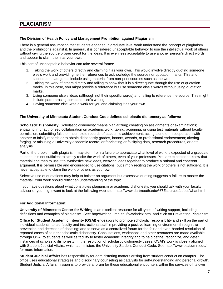## **PLAGIARISM**

## **The Division of Health Policy and Management Prohibition against Plagiarism**

There is a general assumption that students engaged in graduate level work understand the concept of plagiarism and the prohibitions against it. In general, it is considered unacceptable behavior to use the intellectual work of others without giving the source proper credit for the ideas. It is even less acceptable to use another person's direct words and appear to claim them as your own.

This sort of unacceptable behavior can take several forms:

- 1. Taking the work of others directly and claiming it as your own. This would involve directly quoting someone else's work and providing neither references to acknowledge the source nor quotation marks. This and subsequent categories include using material from non-print sources such as the web.
- 2. Taking the work of others directly and failing to show that it is a direct quote through the use of quotation marks. In this case, you might provide a reference but use someone else's words without using quotation marks.
- 3. Using someone else's ideas (although not their specific words) and failing to reference the source. This might include paraphrasing someone else's writing.
- 4. Having someone else write a work for you and claiming it as your own.

## **The University of Minnesota Student Conduct Code defines scholastic dishonesty as follows:**

**Scholastic Dishonesty:** Scholastic dishonesty means plagiarizing; cheating on assignments or examinations; engaging in unauthorized collaboration on academic work; taking, acquiring, or using test materials without faculty permission; submitting false or incomplete records of academic achievement; acting alone or in cooperation with another to falsify records or to obtain dishonestly grades, honors, awards, or professional endorsement; altering forging, or misusing a University academic record; or fabricating or falsifying data, research procedures, or data analysis.

Part of the problem with plagiarism may stem from a failure to appreciate what level of work is expected of a graduate student. It is not sufficient to simply recite the work of others, even of your professors. You are expected to know that material and then to use it to synthesize new ideas, weaving ideas together to produce a rational and coherent argument. It is permissible and encouraged to use citations, but simply reciting the work of others is not sufficient. It is never acceptable to claim the work of others as your own.

Selective use of quotations may help to bolster an argument but excessive quoting suggests a failure to master the material. Your work should reflect an understanding of the topic.

If you have questions about what constitutes plagiarism or academic dishonesty, you should talk with your faculty advisor or you might want to look at the following web site: [http://www.dartmouth.edu/%7Esources/about/what.html](http://www.dartmouth.edu/~sources/about/what.html)

## **For Additional Information:**

**University of Minnesota Center for Writing** is an excellent resource for all types of writing support, including definitions and examples of plagiarism. See:<http://writing.umn.edu/tww/index.htm>and click on Preventing Plagiarism.

**Office for Student Academic Integrity (OSAI)** endeavors to promote scholastic responsibility and skill on the part of individual students; to aid faculty and instructional staff in providing a positive learning environment through the prevention and detection of cheating; and to serve as a centralized forum for the fair and even-handed resolution of reported cases of student scholastic dishonesty. Consultations, workshops and other resources are made available through OSAI to students as well as faculty to foster academic integrity and to help define, recognize, and deter instances of scholastic dishonesty. In the resolution of scholastic dishonesty cases, OSAI's work is closely aligned with [Student Judicial Affairs,](http://www.sja.umn.edu/) which administers the University Student Conduct Code. See<http://www.osai.umn.edu/> for more information.

**Student Judicial Affairs** has responsibility for administering matters arising from student conduct on campus. The office uses educational strategies and disciplinary counseling as catalysts for self-understanding and personal growth. Student Judicial Affairs mission is to provide a forum for these educational encounters within the services of its own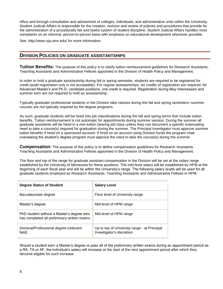office and through consultation and advisement of colleges, individuals, and administrative units within the University. Student Judicial Affairs is responsible for the creation, revision and review of policies and procedures that provide for the administration of a procedurally fair and lawful system of student discipline. Student Judicial Affairs handles most complaints on an informal, person-to-person basis with emphasis on educational development whenever possible.

See:<http://www.sja.umn.edu/> for more information.

## **DIVISION POLICIES ON GRADUATE ASSISTANTSHIPS**

**Tuition Benefits:** The purpose of this policy is to clarify tuition reimbursement guidelines for Research Assistants, Teaching Assistants and Administrative Fellows appointed in the Division of Health Policy and Management.

In order to hold a graduate assistantship during fall or spring semester, students are required to be registered for credit (audit registration only is not acceptable). For regular assistantships, six credits of registration are required; for Advanced Master's and Ph.D. candidate positions, one credit is required. Registration during May Intersession and summer term are not required to hold an assistantship.

Typically graduate/ professional students in the Division take classes during the fall and spring semesters–summer courses are not typically required by the degree programs.

As such, graduate students will be hired into job classifications during the fall and spring terms that include tuition benefits. Tuition reimbursement is not automatic for appointments during summer session. During the summer all graduate assistants will be hired in a non-tuition bearing job class unless they can document a specific extenuating need to take a course(s) required for graduation during the summer. The Principal Investigator must approve summer tuition benefits if hired on a sponsored account. If hired on an account using Division funds the program chair overseeing the student's degree program must approve the need to take the course(s) during the summer.

**Compensation:** The purpose of this policy is to define compensation guidelines for Research Assistants, Teaching Assistants and Administrative Fellows appointed in the Division of Health Policy and Management.

The floor and top of the range for graduate assistant compensation in the Division will be set at the salary range established by the University of Minnesota for these positions. The mid-level salary will be established by HPM at the beginning of each fiscal year and will be within the University's range. The following salary levels will be used for all graduate students employed as Research Assistants, Teaching Assistants and Administrative Fellows in HPM:

| <b>Degree Status of Student</b>                                                          | <b>Salary Level</b>                                                       |
|------------------------------------------------------------------------------------------|---------------------------------------------------------------------------|
| Baccalaureate degree                                                                     | Floor level of University range                                           |
| Master's degree                                                                          | Mid-level of HPM range                                                    |
| PhD student without a Master's degree who<br>has completed all preliminary written exams | Mid-level of HPM range                                                    |
| Doctoral/Professional degree (relevant<br>field)                                         | Up to top of University range - at Principal<br>Investigator's discretion |

Should a student earn a Master's degree or pass all of the preliminary written exams during an appointment period as a RA, TA or AF, the individual's salary will increase at the start of the next appointment period after which they become eligible for such increase.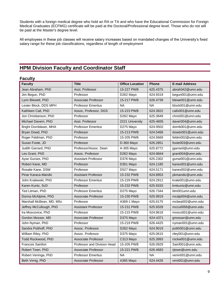Students with a foreign medical degree who hold an RA or TA and who have the Educational Commission for Foreign Medical Graduates (ECFMG) certificate will be paid at the Doctoral/Professional degree level. Those who do not will be paid at the Master's degree level.

All employees in these job classes will receive salary increases based on mandated changes of the University's fixed salary range for these job classifications, regardless of length of employment

## **HPM Division Faculty and Coordinator Staff**

## **Faculty**

| <b>Faculty</b>           | <b>Title</b>                | <b>Office Location</b> | <b>Phone</b> | <b>E-mail Address</b> |
|--------------------------|-----------------------------|------------------------|--------------|-----------------------|
| Jean Abraham, PhD        | Asst. Professor             | 15-227 PWB             | 625.4375     | abrah042@umn.edu      |
| Jim Begun, PhD           | Professor                   | D262 Mayo              | 624.9319     | begun001@umn.edu      |
| Lynn Blewett, PhD        | <b>Associate Professor</b>  | 15-217 PWB             | 626.4739     | blewe001@umn.edu      |
| Lester Block, DDS MPH    | <b>Professor Emeritus</b>   | <b>NA</b>              | <b>NA</b>    | block001@umn.edu      |
| Kathleen Call, PhD       | Assoc, Professor, DGS       | 15-223 PWB             | 624.3922     | callx001@umn.edu      |
| Jon Christianson, PhD    | Professor                   | D262 Mayo              | 625.3849     | chris001@umn.edu      |
| Michael Davern, PhD      | Asst. Professor             | 2221 University        | 625-4835     | daver004@umn.edu      |
| Bright Dornblaser, MHA   | <b>Professor Emeritus</b>   | D275 Mayo              | 624-9502     | dornb001@umn.edu      |
| Bryan Dowd, PhD          | Professor                   | 15-213 PWB             | 624.5468     | dowdx001@umn.edu      |
| Roger Feldman, PhD       | Professor                   | 15-205 PWB             | 624.5669     | feldm002@umn.edu      |
| Susan Foote, JD          | Professor                   | D-360 Mayo             | 626.2851     | foote003@umn.edu      |
| Judith Garrard, PhD      | Professor/Assoc, Dean       | A-305 Mayo             | 625.8772     | jgarrard@umn.edu      |
| Les Grant, PhD           | Assoc. Professor            | D262 Mayo              | 624-8844     | grant004@umn.edu      |
| Ayse Gurses, PhD         | <b>Assistant Professor</b>  | D376 Mayo              | 625.2302     | gurse001@umn.edu      |
| Robert Kane, MD          | Professor                   | D351 Mayo              | 624.1185     | kanex001@umn.edu      |
| Rosalie Kane, DSW        | Professor                   | D527 Mayo              | 624.5171     | kanex002@umn.edu      |
| Pinar Karaca-Mandic      | <b>Assistant Professor</b>  | 15-232 PWB             | 624.8953     | pkmandic@umn.edu      |
| John Kralewski, PhD      | <b>Professor Emeritus</b>   | 15-229 PWB             | 624.2912     | krale001@umn.edu      |
| Karen Kuntz, ScD         | Professor                   | 15-232 PWB             | 625.9333     | kmkuntz@umn.edu       |
| Ted Litman, PhD          | <b>Professor Emeritus</b>   | D275 Mayo              | 626.7344     | litm001umn.edu        |
| Donna McAlpine, PhD      | Associate Professor         | 15-230 PWB             | 625.9919     | mcalp004@umn.edu      |
| Marshall McBean, MD, MSc | Professor                   | A369-1 Mayo            | 625.6175     | mcbea002@umn.edu      |
| Jeffrey McCullough, PhD  | <b>Assistant Professor</b>  | 15-231 PWB             | 625.9328     | mccu0056@umn.edu      |
| Ira Moscovice, PhD       | Professor                   | 15-215 PWB             | 624.8618     | mosco001@umn.edu      |
| Gordon Mosser, MD        | Associate Professor         | D375 Mayo              | 624-4371     | gmosser@umn.edu       |
| John Nyman, PhD          | Professor                   | 15-219 PWB             | 626.4425     | nyman001@umn.edu      |
| Sandra Potthoff, PhD     | Assoc. Professor            | D262 Mayo              | 624.9019     | potth001@umn.edu      |
| William Riley, PhD       | Assoc. Professor            | D375 Mayo              | 625.0615     | riley001@umn.edu      |
| Todd Rockwood, PhD       | <b>Associate Professor</b>  | C313 Mayo              | 625.3993     | rockw001@umn.edu      |
| <b>Francois Sainfort</b> | Professor and Division Head | 15-205 PWB             | 626.0929     | Sainf001@umn.edu      |
| Robert Town, PhD         | <b>Associate Professor</b>  | 15-221 PWB             | 626.4683     | rjtown@umn.edu        |
| Robert Veninga, PhD      | <b>Professor Emeritus</b>   | <b>NA</b>              | <b>NA</b>    | venin001@umn.edu      |
| Beth Virnig, PhD         | Associate Professor         | A365 Mayo              | 624.4426     | virni001@umn.edu      |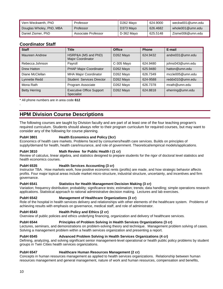| Vern Weckwerth, PhD      | Professor           | D <sub>262</sub> Mayo | 624.9000 | weckw001@umn.edu |
|--------------------------|---------------------|-----------------------|----------|------------------|
| Douglas Wholey, PhD, MBA | Professor           | D373 Mayo             | 626.4682 | whole001@umn.edu |
| Daniel Zismer, PhD       | Associate Professor | D-362 Mayo            | 625.5148 | Zisme006@umn.edu |

## **Coordinator Staff**

.

| <b>Staff</b>         | <b>Title</b>                                         | <b>Office</b> | <b>Phone</b> | E-mail           |
|----------------------|------------------------------------------------------|---------------|--------------|------------------|
| Maureen Andrew       | HSRP&A (MS and PhD)<br>Major Coordinator             | D262 Mayo     | 624.9432     | andre031@umn.edu |
| Rebecca Johnson      | Payroll                                              | C-305 Mayo    | 624.9480     | johns043@umn.edu |
| Drew Hatton          | PHAP Major Coordinator                               | D262 Mayo     | 625.9480     | hatton@umn.edu   |
| Diane McClellan      | <b>MHA Major Coordinator</b>                         | D262 Mayo     | 626.7349     | mccle005@umn.edu |
| Lynnette Redd        | <b>Student Services Director</b>                     | D262 Mayo     | 624-9588     | reddx010@umn.edu |
| Mona Rath            | Program Associate                                    | D262 Mayo     | 626.7378     | mrath@umn.edu    |
| <b>Betty Herring</b> | <b>Executive Office Support</b><br><b>Specialist</b> | D262 Mayo     | 624.8818     | eherring@umn.edu |

All phone numbers are in area code 612

## **HPM Division Course Descriptions**

The following courses are taught by Division faculty and are part of at least one of the four teaching program's required curriculum. Students should always refer to their program curriculum for required courses, but may want to consider any of the following for course planning.

## **PubH 3801 Health Economics and Policy (3cr)**

Economics of health care markets. Problems faced by consumers/health care services. Builds on principles of supply/demand for health, health care/insurance, and role of government. Theoretical/empirical models/applications.

## **PubH 3810 Math Review for Public Health I (1 cr)**

Review of calculus, linear algebra, and statistics designed to prepare students for the rigor of doctoral level statistics and health economics courses.

## **PubH 6535 Health Services Accounting (3 cr)**

Instructor TBA. How markets work, how positive economic rents (profits) are made, and how strategic behavior affects profits. Four major topical areas include market micro-structure, industrial structure, uncertainty, and incentives and firm governance.

## **PubH 6541 Statistics for Health Management Decision Making (3 cr)**

Variation; frequency distribution; probability; significance tests; estimation; trends; data handling; simple operations research applications. Statistical approach to rational administrative decision making. Lectures and lab exercises.

## **PubH 6542 Management of Healthcare Organizations (3 cr)**

Role of the hospital in health services delivery and relationships with other elements of the healthcare system. Problems of achieving results with emphasis on governance, medical staff, and role of administrator.

## **PubH 6543 Health Policy and Ethics (2 cr)**

Overview of public policies and ethics underlying financing, organization and delivery of healthcare services.

## **PubH 6544 Principles of Problem Solving in Health Services Organizations (3 cr)**

Lectures, seminars, and demonstrations on problem-solving theory and technique. Management problem solving of cases. Solving a management problem within a health services organization and presenting a report.

## **PubH 6545 Advanced Problem Solving in Health Services Organizations (4 cr)**

Defining, analyzing, and solving significant senior management-level operational or health public policy problems by student groups in Twin Cities health services organizations.

## **PubH 6547 Healthcare Human Resources Management (2 cr)**

Concepts in human resources management as applied to health services organizations. Relationship between human resources management and general management, nature of work and human resources, compensation and benefits,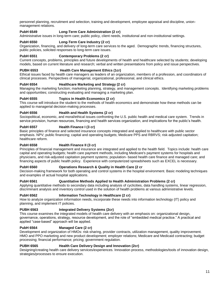personnel planning, recruitment and selection, training and development, employee appraisal and discipline, unionmanagement relations.

## **PubH 6549 Long-Term Care Administration (2 cr)**

Administrative issues in long-term care; public policy, client needs, institutional and non-institutional settings.

## **PubH 6550 Long-Term Care Industry (2 cr)**

Organization, financing, and delivery of long-term care services to the aged. Demographic trends, financing structures, public policies, solicited responses to long-term care issues.

#### **PubH 6551 Contemporary Problems (2 cr)**

Current concepts, problems, principles and future developments of health and healthcare selected by students; developing models, based on current literature and research; verbal and written presentations from policy and issue perspectives.

#### **PUBH 6553 Health Care Management Ethics (1cr)**

Ethical issues faced by health care managers as leaders of an organization, members of a profession, and coordinators of clinical processes. Perspectives of managerial, organizational, professional, and clinical ethics.

#### **PubH 6554 Healthcare Marketing and Strategy (2 cr)**

Managing the marketing function; marketing planning, strategy, and management concepts. Identifying marketing problems and opportunities; constructing evaluating and managing a marketing plan.

#### **PubH 6555 Topics in Health Economics (2 cr)**

This course will introduce the student to the methods of health economics and demonstrate how these methods can be applied to managerial decision-making processes.

#### **PubH 6556 Health and Health Systems (2 cr)**

Sociopolitical, economic, and moral/ethical issues confronting the U.S. public health and medical care system. Trends in service provision, human resources, financing and health services organization, and implications for the public's health.

#### **PubH 6557 Health Finance I (3 cr)**

Basic principles of finance and selected insurance concepts integrated and applied to healthcare with public sector emphasis. NPV; public financing; capital and operating budgets; Medicare PPS and RBRVS; risk-adjusted capitation; healthcare reform.

#### **PubH 6558 Health Finance II (3 cr)**

Principles of financial management and insurance are integrated and applied to the health field. Topics include: health care capital and operating budgets; health care payment methods, including Medicare's payment systems for hospitals and physicians, and risk-adjusted capitation payment systems; population- based health care finance and managed care; and financing aspects of public health policy. Experience with computerized spreadsheets such as EXCEL is necessary.

#### **PubH 6560 Operations Research & Quality in Health Care (2 cr**

Decision-making framework for both operating and control systems in the hospital environment. Basic modeling techniques and examples of actual hospital applications.

#### **PubH 6561 Quantitative Methods Applied to Health Administration Problems (2 cr)**

Applying quantitative methods to secondary data including analysis of cyclicities, data handling systems, linear regression, discriminant analysis and inventory control used in the solution of health problems at various administrative levels.

#### **PubH 6562 Information Technology in Healthcare (2 cr)**

How to analyze organization information needs, incorporate these needs into information technology (IT) policy and planning, and implement IT policies.

## **PUBH 6563 Integrated Delivery Systems (2cr)**

This course examines the integrated models of health care delivery with an emphasis on: organizational design, governance, operations, strategy, resource development, and the role of "embedded medical practice." A practical and applied "case-based" approach will be applied.

#### **PubH 6564 Managed Care (2 cr)**

Development and organization of HMOs: risk-sharing, provider contracts, utilization management, quality improvement. HMO and PPO marketing and new product development; employer relations; Medicare and Medicaid contracting; budget processing; financial performance; pricing; government regulation.

#### **PUBH 6565 Health Care Delivery Design and Innovation (2cr)**

Designing/creating health care delivery services/experiences. Innovation process, methodologies/tools of innovation design, strategies/processes to ensure execution.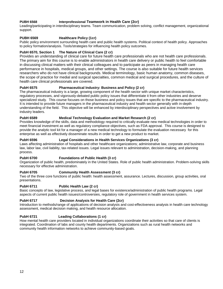## **PUBH 6568 Interprofessional Teamwork in Health Care (2cr)**

Leading/participating in interdisciplinary teams. Team communication, problem solving, conflict management, organizational support.

## **PUBH 6569 Healthcare Policy (1cr)**

Public policy environment surrounding health care and public health systems. Political context of health policy. Approaches to policy formation/analysis. Tools/strategies for influencing health policy outcomes.

## **PubH 6570, Section 1 The Nature of Clinical Care (2 cr)**

Provides an understanding of clinical care for future health care professionals who are not health care professionals. The primary aim for this course is to enable administrators in health care delivery or public health to feel comfortable in discussing clinical matters with their clinical colleagues and to participate as peers in managing health care performance in hospitals, medical groups, and other settings. The course is also suitable for future health services researchers who do not have clinical backgrounds. Medical terminology, basic human anatomy, common diseases, the scope of practice for medial and surgical specialties, common medical and surgical procedures, and the culture of health care clinical professionals are covered.

## **PubH 6575 Pharmaceutical Industry: Business and Policy (2 cr)**

The pharmaceutical industry is a large, growing component of the health sector with unique market characteristics, regulatory processes, and vigorously-debated public policy issues that differentiate it from other industries and deserve specialized study. This course focuses on those business and policy issues that are specific to the pharmaceutical industry. It is intended to provide future managers in the pharmaceutical industry and health sector generally with in-depth understanding of the field. This objective will be enhanced by interdisciplinary perspectives and active involvement by industry leaders.

## **PubH 6589 Medical Technology Evaluation and Market Research (2 cr)**

Provides knowledge of the skills, data and methodology required to critically evaluate new medical technologies in order to meet financial investment as well as regulatory compliance objectives, such as FDA approval. This course is designed to provide the analytic tool kit for a manager of a new medical technology to formulate the evaluation necessary for this enterprise as well as effectively disseminate results in order to get a new product to market.

## **PubH 6596 Legal Considerations in Health Services Organizations (3 cr)**

Laws affecting administration of hospitals and other healthcare organizations; administrative law, corporate and business law, labor law, civil liability, tax-related issues. Legal issues relevant to administration, decision-making, and planning process.

## **PubH 6700 Foundations of Public Health (3 cr)**

Organization of public health, predominately in the United States. Role of public health administration. Problem-solving skills necessary for effective administration.

## **PubH 6705 Community Health Assessment (3 cr)**

Two of the three core functions of public health: health assessment, assurance. Lectures, discussion, group activities, oral presentations.

## PubH 6711 **Public Health Law (2 cr)**

Basic concepts of law, legislative process, and legal bases for existence/administration of public health programs. Legal aspects of current public health issues/controversies, regulatory role of government in health services system.

## **PubH 6717 Decision Analysis for Health Care (2cr)**

Introduction to methods/range of applications of decision analysis and cost-effectiveness analysis in health care technology assessment, medical decision making, and health resource allocation.

## **PubH 6721 Leading Collaborations (1 cr)**

How mental health care providers located in individual organizations coordinate their activities so that care of clients is integrated. Coordination of labs and county health departments. Organizations such as rural health networks and community health information networks to achieve community-based goals.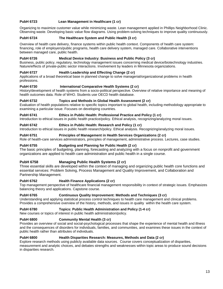## **PubH 6723 Lean Management in Healthcare (1 cr)**

Organizing to maximize customer value while minimizing waste. Lean management applied in Phillips Neighborhood Clinic. Observing waste. Developing basic value flow diagrams. Using problem-solving techniques to improve quality continuously.

## **PubH 6724 The Healthcare System and Public Health (3 cr)**

Overview of health care delivery, finance systems within public health context. Components of health care system: financing, role of employers/public programs, health care delivery system, managed care. Collaborative interventions between managed care, public health.

## **PubH 6726 Medical Device Industry: Business and Public Policy (3 cr)**

Business, public policy, regulatory, technology management issues concerning medical device/biotechnology industries. Nature/effects of private-public sector interactions. Involvement by leaders in Minnesota organizations.

## **PubH 6727 Health Leadership and Effecting Change (2 cr)**

Applications of a broad theoretical base in planned change to solve managerial/organizational problems in health professions.

## **PubH 6730 International Comparative Health Systems (2 cr)**

History/development of health systems from a socio-political perspective. Overview of relative importance and meaning of health outcomes data. Role of WHO. Students use OECD health database.

## **PubH 6732 Topics and Methods in Global Health Assessment (2 cr)**

Evaluation of health populations relative to specific topics important to global health, including methodology appropriate to examining a particular issue. Focuses on developing countries.

## **PubH 6741 Ethics in Public Health: Professional Practice and Policy (1 cr)**

Introduction to ethical issues in public health practice/policy. Ethical analysis, recognizing/analyzing moral issues.

## **PubH 6742 Ethics in Public Health: Research and Policy (1 cr)**

Introduction to ethical issues in public health research/policy. Ethical analysis. Recognizing/analyzing moral issues.

## **PubH 6751 Principles of Management in Health Services Organizations (2 cr)**

Role of health-care services administrators, principles of management, administrative process. Lectures, case studies.

## **PubH 6755 Budgeting and Planning for Public Health (2 cr)**

The basic principles of budgeting, planning, forecasting and analyzing with a focus on nonprofit and government organizations are applied to health care administration and public health in a single course.

## **PubH 6758 Managing Public Health Systems (2 cr)**

Three essential skills are developed within the context of managing and organizing public health core functions and essential services: Problem Solving, Process Management and Quality Improvement, and Collaboration and Partnership Management.

## **PubH 6762 Health Finance Applications (2 cr)**

Top management perspective of healthcare financial management responsibility in context of strategic issues. Emphasizes balancing theory and applications. Capstone course.

## **PubH 6765 Continuous Quality Improvement: Methods and Techniques (3 cr)**

Understanding and applying statistical process control techniques to health care management and clinical problems. Provides a comprehensive overview of the history, methods, and issues in quality within the health care system.

## **PubH 6780 Topics: Public Health Administration and Policy (1-4 cr)**

New courses or topics of interest in public health administration/policy.

## **PubH 6800 Community Mental Health (3 cr)**

Provides an overview of social and social-psychological processes that shape the experience of mental health and illness and the consequences of disorders for individuals, families, and communities, and examines these issues in the context of public health rather than attributes of individuals.

## **PubH 6800 Health Disparities Research: Measures, Methods and Data (2 cr)**

Explore research methods using publicly available data sources. Course covers conceptualization of disparities, measurement and analytic choices, and debates strengths and weaknesses within topic areas to produce sound decisions in disparities research.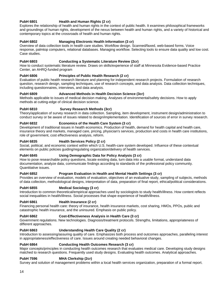## PubH 6801 **Health and Human Rights (2 cr)**

Explores the relationship of health and human rights in the context of public health. It examines philosophical frameworks and groundings of human rights, development of the nexus between health and human rights, and a variety of historical and contemporary topics at the crossroads of health and human rights.

## **PubH 6802 Managing Electronic Health Information (3 cr)**

Overview of data collection tools in health care studies. Workflow design. Scanned/faxed, web-based forms. Voice response, palmtop computers, relational databases. Managing workflow. Selecting tools to ensure data quality and low cost. Case studies.

## **PubH 6803 Conducting a Systematic Literature Review (2cr)**

How to conduct systematic literature review. Draws on skills/experience of staff at Minnesota Evidence-based Practice Center, an AHRQ-funded program

## PubH 6806 **Principles of Public Health Research (2 cr)**

Evaluation of public health research literature and planning for independent research projects. Formulation of research question, research design, sampling techniques, use of research concepts, and data analysis. Data collection techniques, including questionnaires, interviews, and data analysis.

## **PubH 6809 Advanced Methods in Health Decision Science (3cr)**

Methods applicable to issues of medical decision making. Analyses of environmental/safety decisions. How to apply methods at cutting-edge of clinical decision science.

## **PubH 6810 Survey Research Methods (3cr)**

Theory/application of survey research in data collection. Sampling, item development, instrument design/administration to conduct survey or be aware of issues related to design/implementation. Identification of sources of error in survey research.

## **PubH 6832 Economics of the Health Care System (3 cr)**

Development of traditional issues in health economics. Production of health, demand for health capital and health care, insurance theory and markets, managed care, pricing, physician's services, production and costs in health care institutions, role of government, cost effectiveness analysis, reform.

## **PubH 6835 Health Services Policy (2 cr)**

Social, political, and economic context within which U.S. health-care system developed. Influence of these contextual elements on public policies guiding/regulating organization/delivery of health services.

## **PubH 6845 Using Demographic Data for Policy Analysis (3 cr)**

How to pose researchable policy questions, locate existing data, turn data into a usable format, understand data documentation, analyze data, communicate findings according to standards of the professional policy community. Quantitative issues.

## **PubH 6852 Program Evaluation in Health and Mental Health Settings (3 cr)**

Provides an overview of evaluation, models of evaluation, objectives of an evaluative study, sampling of subjects, methods of data collection, methodological designs, interpretation of data, preparation of final report, ethical/political considerations.

## **PubH 6855 Medical Sociology (3 cr)**

Introduction to common theoretical/empirical approaches used by sociologists to study health/illness. How content reflects social inequalities in health/illness. Social processes that shape experience of health/illness.

## PubH 6861 **Health Insurance (2 cr)**

Financing personal health care: theory of insurance, health insurance markets, cost sharing, HMOs, PPOs, public and catastrophic health insurance, and the uninsured. Emphasis on public policy.

## **PubH 6862 Cost-Effectiveness Analysis in Health Care (3 cr)**

Government regulations. New technologies. Diagnosis/treatment protocols. Strengths, limitations, appropriateness of different approaches.

## **PubH 6863 Understanding Health Care Quality (2 cr)**

Introduction to assessing/assuring quality of care. Emphasizes both process and outcomes approaches, paralleling interest in appropriateness/effectiveness of care. Issues around creating needed behavioral changes.

## **PubH 6864 Conducting Health Outcomes Research (3 cr)**

Major concepts/principles in conducting health outcomes research that evaluates medical care. Developing study designs matched to research questions. Frequently used study designs. Evaluating health outcomes. Analytical approaches.

## **PubH 7596 MHA Clerkship (2cr)**

Survey and solution of management problems within a local health services organization, preparation of a formal report.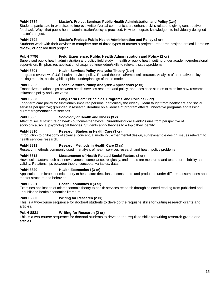## **PubH 7784 Master's Project Seminar: Public Health Administration and Policy (1cr)**

Students participate in exercises to improve written/verbal communication, enhance skills related to giving constructive feedback. Ways that public health administration/policy is practiced. How to integrate knowledge into individually designed master's project.

## **PubH 7794 Master's Project: Public Health Administration and Policy (2 cr)**

Students work with their adviser to complete one of three types of master's projects: research project, critical literature review, or applied field project.

## **PubH 7796 Field Experience: Public Health Administration and Policy (2 cr)**

Supervised public health administration and policy field study in health or public health setting under academic/professional supervision. Emphasizes application of acquired knowledge/skills to relevant issues/problems.

## **PubH 8801 Health Services Policy Analysis: Theory (3 cr)**

Integrated overview of U.S. health services policy. Related theoretical/empirical literature. Analysis of alternative policymaking models, political/philosophical underpinnings of those models.

#### **PubH 8802 Health Services Policy Analysis: Applications (2 cr)**

Emphasizes relationships between health services research and policy, and uses case studies to examine how research influences policy and vice versa.

#### **PubH 8803 Long-Term Care: Principles, Programs, and Policies (2 cr)**

Long-term care policy for functionally impaired persons, particularly the elderly. Team taught from healthcare and social services perspective; grounded in research literature on evidence of program effects. Innovative programs addressing current fragmentation of services.

## **PubH 8805 Sociology of Health and Illness (3 cr)**

Affect of social structure on health outcomes/behaviors. Current/historical events/issues from perspective of sociological/social psychological theories. Students apply theories to a topic they identify.

#### **PubH 8810 Research Studies in Health Care (3 cr)**

Introduction to philosophy of science, conceptual modeling, experimental design, survey/sample design, issues relevant to health services research.

#### **PubH 8811 Research Methods in Health Care (3 cr)**

Research methods commonly used in analysis of health services research and health policy problems.

## **PubH 8813 Measurement of Health-Related Social Factors (3 cr)**

How social factors such as innovativeness, compliance, religiosity, and stress are measured and tested for reliability and validity. Relationships between theory, concepts, variables, data.

## **PubH 8820 Health Economics I (3 cr)**

Application of microeconomic theory to healthcare decisions of consumers and producers under different assumptions about market structure and behavior.

## PubH 8821 **Health Economics II (3 cr)**

Examines application of microeconomic theory to health services research through selected reading from published and unpublished health economics literature.

#### **PubH 8830 Writing for Research (2 cr)**

This is a two-course sequence for doctoral students to develop the requisite skills for writing research grants and articles.

## **PubH 8831 Writing for Research (2 cr)**

This is a two-course sequence for doctoral students to develop the requisite skills for writing research grants and articles.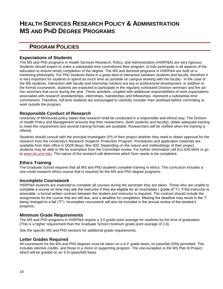## **HEALTH SERVICES RESEARCH POLICY & ADMINISTRATION MS AND PHD DEGREE PROGRAMS**

## **PROGRAM POLICIES**

## **Expectations of Students**

The MS and PhD programs in Health Services Research, Policy, and Administration (HSRP&A) are very rigorous. Students should expect to make a substantial time commitment their program, to fully participate in all aspects of the education to ensure timely completion of the degree. The MS and doctoral programs in HSRP&A are built on a mentoring philosophy. For PhD students these is a great deal of interaction between students and faculty, therefore it is very important for students to spend as much time as possible on campus working with the faculty. In the case of the MS students, interaction with faculty and internship mentors are key to professional development. In addition to the formal coursework, students are expected to participate in the regularly scheduled Division seminars and the adhoc seminars that occur during the year. These activities, coupled with additional responsibilities of work expectations associated with research assistantships, internships, traineeships and fellowships, represent a substantial time commitment. Therefore, full-time students are encouraged to carefully consider their workload before committing to work outside the program.

## **Responsible Conduct of Research**

University of Minnesota policy states that research shall be conducted in a responsible and ethical way. The Division of Health Policy and Management ensures that their researchers, (both students and faculty), obtain adequate training to meet this requirement and several training formats are available. Researchers will be notified when the training is offered.

Students should consult with the principal investigator (PI) of their project whether they need to obtain approval for the research from the University's Research Subjects' Protection Program. Procedures and application materials are available from their office in D528 Mayo, Box 820. Depending on the nature and methodology of their project, students may be able to file for exemption from the Committee review. For further information call 612.626.5654 or go to [www.irb.umn.edu.](http://www.irb.umn.edu/) The nature of the research will determine which form needs to be completed.

## **Ethics Training**

The Graduate School requires that all MS and PhD students complete training in ethics. The curriculum includes a one-credit research ethics course that is required for the MS and PhD degree programs.

## **Incomplete Coursework**

HSRP&A students are expected to complete all courses during the semester they are taken. Those who are unable to complete a course on time may ask the instructor if they are eligible for an incomplete ( grade of "I"). If the instructor is amenable, a formal written contract between the student and instructor is required. The contract should include the assignments for the course that are still due, and a deadline for completion. Missing the deadline may result in the "I" being changed to a fail ("F"). Incomplete coursework will also be included in the annual review of the student's progress.

## **Minimum Grade Requirements**

The MS and PhD programs in HSRP&A require a 3.0 grade point average for students by the time of graduation. (This is a higher requirement than the Graduate School minimum grade point average of 2.8).

See the specific MS and PhD sections for additional grade requirements.

## **Letter Grades Required**

All coursework for the MS and PhD degrees must be taken on a A-F grade basis; no pass/fail (S/N) permitted. This includes elective credits, and those in a minor or supporting program. The one exception is the MS Plan B Project, which will be graded on an S-N (pass/fail) basis.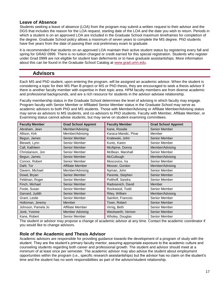## **Leave of Absence**

Students seeking a leave of absence (LOA) from the program may submit a written request to their advisor and the DGS that includes the reason for the LOA request, starting date of the LOA and the date you wish to return. Periods in which a student is on an approved LOA are included in the Graduate School maximum timeframes for completion of the degree. Graduate School policy allows a maximum of seven years to complete the MS degree. PhD students have five years from the date of passing their oral preliminary exam to graduate.

It is recommended that students on an approved LOA maintain their active student status by registering every fall and spring for GRAD 0999. There is no tuition charged or credit earned for this special registration. Students who register under Grad 0999 are not eligible for student loan deferments or to have graduate assistantships. More information about this can be found in the Graduate School Catalog at [www.grad.umn.edu.](http://www.grad.umn.edu/)

## **Advisors**

Each MS and PhD student, upon entering the program, will be assigned an academic advisor. When the student is considering a topic for their MS Plan B project or MS or PhD thesis, they are encouraged to seek a thesis advisor if there is another faculty member with expertise in their topic area. HPM faculty members are from diverse academic and professional backgrounds, and are a rich resource for students in the advisor-advisee relationship.

Faculty membership status in the Graduate School determines the level of advising in which faculty may engage. Program faculty with Senior Member or Affiliated Senior Member status in the Graduate School may serve as academic advisors to both PhD and MS students. Those with Member/Advising or Affiliate Member/Advising status may serve as advisors to MS students, and co-advisors to PhD students. Faculty with Member, Affiliate Member, or Examining status cannot advise students, but may serve on student examining committees.

| <b>Faculty Member</b> | <b>Grad School Appmnt</b> | <b>Faculty Member</b> | <b>Grad School Appmnt</b> |
|-----------------------|---------------------------|-----------------------|---------------------------|
| Abraham, Jean         | Member/Advising           | Kane, Rosalie         | Senior Member             |
| Allison, Kirk         | Member/Advising           | Karaca-Mandic, Pinar  | Member                    |
| Begun, James          | <b>Senior Member</b>      | Kralewski, John       | <b>Senior Member</b>      |
| Blewett, Lynn         | Senior Member             | Kuntz, Karen          | Senior Member             |
| Call, Kathleen        | Senior Member             | McAlpine, Donna       | Member/Advising           |
| Christianson, Jon     | Senior Member             | McBean, Marshall      | Senior Member             |
| Begun, James          | Senior Member             | McCullough            | Member/Advising           |
| Connor, Robert        | Senior Member             | Moscovice, Ira        | Senior Member             |
| Dahl, Tor             | <b>Affiliate Member</b>   | Mosser, Gordon        | Member/Advising           |
| Davern, Michael       | Member/Advising           | Nyman, John           | Senior Member             |
| Dowd, Bryan           | Senior Member             | Parente, Stephen      | Senior Member             |
| Feldman, Roger        | Senior Member             | Potthoff, Sandra      | Senior Member             |
| Finch, Michael        | Senior Member             | Radosevich, David     | <b>Member</b>             |
| Foote, Susan          | Senior Member             | Rockwood, Todd        | Senior Member             |
| Garrard, Judith       | Senior Member             | Riley, William        | Member/Advising           |
| Grant, Leslie         | Senior Member             | Sainfort, Francois    | Senior Member             |
| Holtzman, Jeremy      | Member                    | Town, Robert          | <b>Senior Member</b>      |
| Johnson, Pamela Jo    | Affiliate Member          | Virnig, Beth          | Senior Member             |
| Jonk, Yvonne          | <b>Member Advising</b>    | Weckwerth, Vernon     | Senior Member             |
| Kane, Robert          | Senior Member             | Wholey, Douglas       | Senior Member             |

The student or advisor may propose a change of academic advisor at any time. Contact the academic coordinator if you would like to change advisors.

## **Role of the Academic and Thesis Advisor**

Academic advisors are responsible for providing guidance towards the development of a program of study with the student. They are the student's primary faculty mentor, assuring appropriate exposure to the academic culture and counseling students regarding both career and professional growth. The student and advisor should meet at a minimum of at least once per semester. The academic advisor may also advise the student about employment opportunities within the program (i.e., specific research assistantships) but the advisor has no claim on the student's time and the student has no work responsibilities as part of the advisor/student relationship.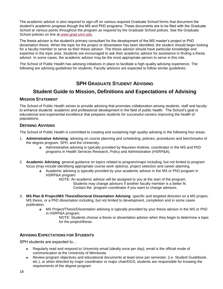The academic advisor is also required to sign-off on various required Graduate School forms that document the student's academic progress though the MS and PhD programs. These documents are to be filed with the Graduate School at various points throughout the program as required by the Graduate School polices. See the Graduate School policies on line at [www.grad.umn.edu.](http://www.grad.umn.edu/)

The thesis advisor is the student's primary consultant for the development of the MS master's project or PhD dissertation thesis. When the topic for the project or dissertation has been identified, the student should begin looking for a faculty member to serve as their thesis advisor. The thesis advisor should have particular knowledge and expertise in the topic area. Students are encouraged to ask their academic advisor for assistance in finding a thesis advisor. In some cases, the academic advisor may be the most appropriate person to serve in this role.

The School of Public Health has advising initiatives in place to facilitate a high quality advising experience. The following are advising guidelines for students. Faculty advisors are expected to follow similar guidelines .

## **SPH GRADUATE STUDENT ADVISING**

## **Student Guide to Mission, Definitions and Expectations of Advising**

## **MISSION STATEMENT**

The School of Public Health strives to provide advising that promotes collaboration among students, staff and faculty to enhance students' academic and professional development in the field of public health. The School's goal is educational and experiential excellence that prepares students for successful careers improving the health of populations.

## **DEFINING ADVISING**

The School of Public Health is committed to creating and sustaining high quality advising in the following four areas:

- 1. **Administrative Advising**: advising on course planning and scheduling, policies, procedures and benchmarks of the degree program, SPH, and the University.
	- *o* Administrative advising is typically provided by Maureen Andrew, coordinator in the MS and PhD programs in Health Services Research, Policy and Administration (HSRP&A).
- 2. **Academic Advising**: general guidance on topics related to program/major including, but not limited to program focus (may include identifying appropriate course work options), project selection and career planning.
	- *o* Academic advising is typically provided by your academic advisor in the MS or PhD program in HSRP&A program.

NOTE: An academic advisor will be assigned to you at the start of the program. Students may change advisors if another faculty member is a better fit. Contact the program coordinator if you want to change advisors.

- 3. **MS Plan B Project/MS Thesis/Doctoral Dissertation Advising**: specific and targeted direction on a MS project, MS thesis, or a PhD dissertation including, but not limited to development, completion and in some cases publication.
	- *o* MS Project/Thesis/Dissertation advising is typically provided by your thesis advisor in the MS or PhD in HSRP&A program.
		- NOTE: Students choose a thesis or dissertation advisor when they begin to determine a topic for the project/thesis.

## **ADVISING EXPECTATIONS FOR STUDENTS**

SPH students are expected to…

- Regularly read and respond to University email (ideally once per day); email is the official mode of communication at the University of Minnesota
- Review program objectives and educational documents at least once per semester, (i.e. Student Guidebook, etc.), or when directed by major coordinator or major chair/DGS; students are responsible for knowing the requirements of the degree program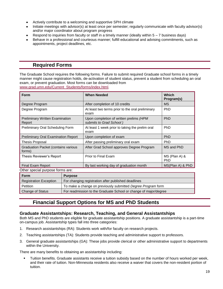- Actively contribute to a welcoming and supportive SPH climate
- Initiate meetings with advisor(s) at least once per semester; regularly communicate with faculty advisor(s) and/or major coordinator about program progress
- Respond to inquiries from faculty or staff in a timely manner (ideally within  $5 7$  business days)  $\bullet$
- Behave in a professional and courteous manner; fulfill educational and advising commitments, such as appointments, project deadlines, etc.

## **Required Forms**

The Graduate School requires the following forms. Failure to submit required Graduate school forms in a timely manner might cause registration holds, de-activation of student status, prevent a student from scheduling an oral exam, or prevent graduation. Most forms can be downloaded from [www.grad.umn.edu/Current\\_Students/forms/index.html.](http://www.grad.umn.edu/Current_Students/forms/index.html)

| <b>Form</b>                                                              |                                                                  | <b>When Needed</b>                                                | Which<br>Program(s)         |
|--------------------------------------------------------------------------|------------------------------------------------------------------|-------------------------------------------------------------------|-----------------------------|
| Degree Program                                                           |                                                                  | After completion of 10 credits                                    | <b>MS</b>                   |
| Degree Program                                                           |                                                                  | At least two terms prior to the oral preliminary<br>exam          | <b>PhD</b>                  |
| <b>Preliminary Written Examination</b><br>Report                         |                                                                  | Upon completion of written prelims (HPM<br>submits to Grad School | <b>PhD</b>                  |
| Preliminary Oral Scheduling Form                                         |                                                                  | At least 1 week prior to taking the prelim oral<br>exam           | <b>PhD</b>                  |
| <b>Preliminary Oral Examination Report</b>                               |                                                                  | Upon completion of exam                                           | <b>PhD</b>                  |
| <b>Thesis Proposal</b>                                                   |                                                                  | After passing preliminary oral exam<br><b>PhD</b>                 |                             |
| <b>Graduation Packet (contains various</b><br>forms)                     |                                                                  | After Grad School approves Degree Program                         | MS and PhD                  |
| Thesis Reviewer's Report                                                 |                                                                  | Prior to Final Exam                                               | MS (Plan A) &<br><b>PhD</b> |
| Final Exam Report                                                        |                                                                  | By last working day of graduation month                           | MS(Plan A) & PhD            |
| Other special purpose forms are:                                         |                                                                  |                                                                   |                             |
| <b>Form</b><br><b>Purpose</b>                                            |                                                                  |                                                                   |                             |
| <b>Registration Exception</b>                                            | For changing registration after published deadlines              |                                                                   |                             |
| Petition<br>To make a change on previously submitted Degree Program form |                                                                  |                                                                   |                             |
| <b>Change of Status</b>                                                  | For readmission to the Graduate School or change of major/degree |                                                                   |                             |

## **Financial Support Options for MS and PhD Students**

## **Graduate Assistantships: Research, Teaching, and General Assistantships**

Both MS and PhD students are eligible for graduate assistantship positions. A graduate assistantship is a part-time on-campus job. Assistantship types fall into three categories:

- 1. Research assistantships (RA): Students work with/for faculty on research projects.
- 2. Teaching assistantships (TA): Students provide teaching and administrative support to professors.
- 3. General graduate assistantships (GA): These jobs provide clerical or other administrative support to departments within the University.

There are many benefits to obtaining an assistantship including:

 Tuition benefits. Graduate assistants receive a tuition subsidy based on the number of hours worked per week, and their rate of tuition. Non-Minnesota residents also receive a waiver that covers the non-resident portion of tuition.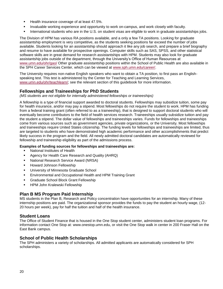- Health insurance coverage of at least 47.5%.
- **Invaluable working experience and opportunity to work on-campus, and work closely with faculty.**
- International students who are in the U.S. on student visas are eligible to work in graduate assistantships jobs.

The Division of HPM has various RA positions available, and a only a few TA positions. Looking for graduate assistantship employment is very competitive, as the students seeking positions far exceed the number of jobs available. Students looking for an assistantship should approach it like any job search, and prepare a brief biography and resume to have available for prospective openings. Computer skills such as SAS, SPSS, and other statistical software skills are in great demand for research assistantships with HPM. Students may also look for graduate assistantship jobs outside of the department, through the University's Office of Human Resources at [www.umn.edu/ohr/gao/](http://www1.umn.edu/ohr/gao/) Other graduate assistantship positions within the School of Public Health are also available in the SPH Career Services Center, which can be viewed at [www.sph.umn.edu/career/.](http://www.sph.umn.edu/career/)

The University requires non-native English speakers who want to obtain a TA position, to first pass an Englishspeaking test. This test is administered by the Center for Teaching and Learning Services, [www.umn.edu/ohr/teachlearn/;](http://www.umn.edu/ohr/teachlearn/) see the relevant section of this guidebook for more information.

## **Fellowships and Traineeships for PhD Students**

## *(MS students are not eligible for internally administered fellowships or traineeships)*

A fellowship is a type of financial support awarded to doctoral students. Fellowships may subsidize tuition, some pay for health insurance, and/or may pay a stipend. Most fellowships do not require the student to work. HPM has funding from a federal training grant (often referred to as a traineeship), that is designed to support doctoral students who will eventually become contributors to the field of health services research. Traineeships usually subsidize tuition and pay the student a stipend. The dollar value of fellowships and traineeships varies. Funds for fellowships and traineeships come from various sources such as government agencies, private organizations, or the University. Most fellowships and traineeships require United States citizenship. The funding levels for fellowships and traineeships are limited, thus are targeted to students who have demonstrated high academic performance and other accomplishments that predict likely success in the program and the field. All newly admitted doctoral candidates are automatically reviewed for fellowship and traineeship eligibility as part of the admissions process.

## **Examples of funding sources for fellowships and traineeships are:**

- National Institutes of Health
- **Agency for Health Care Research and Quality (AHRQ)**
- **National Research Service Award (NRSA)**
- **Howard Johnson Fellowship**
- **University of Minnesota Graduate School**
- Environmental and Occupational Health and HPM Training Grant
- **Graduate School Block Grant Fellowship**
- HPM John Kralewski Fellowship

## **Plan B MS Program Paid Internship**

MS students in the Plan B, Research and Policy concentration have opportunities for an internship. Many of these internship positions are paid. The organizational sponsor provides the funds to pay the student an hourly wage, (12- 20 hours per week), pay for half the tuition and half of the health insurance.

## **Student Loans**

The Office of Student Finance that is housed in the One Stop student center, administers student loan programs. For information contact One Stop at: [www.onestop.umn.edu,](http://www.onestop.umn.edu/) or visit the One Stop walk in center in 200 Fraser Hall on the East Bank campus.

## **School of Public Health Scholarships**

The SPH administers a variety of scholarships. All admitted applicants are automatically considered for SPH scholarships.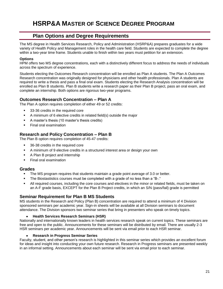## **HSRP&A MASTER OF SCIENCE DEGREE PROGRAM**

## **Plan Options and Degree Requirements**

The MS degree in Health Services Research, Policy and Administration (HSRP&A) prepares graduates for a wide variety of Health Policy and Management roles in the health care field. Students are expected to complete the degree within a two-year time frame. Students unable to finish within two years must petition for an extension.

## **Options**

HPM offers two MS degree concentrations, each with a distinctively different focus to address the needs of individuals across the spectrum of experience.

Students electing the Outcomes Research concentration will be enrolled as Plan A students. The Plan A Outcomes Research concentration was originally designed for physicians and other health professionals. Plan A students are required to write a thesis and pass a final oral exam. Students electing the Research Analysis concentration will be enrolled as Plan B students. Plan B students write a research paper as their Plan B project, pass an oral exam, and complete an internship. Both options are rigorous two-year programs.

## **Outcomes Research Concentration – Plan A**

The Plan A option requires completion of either 49 or 52 credits:

- **33-36 credits in the required core**
- A minimum of 6 elective credits in related field(s) outside the major
- A master's thesis (10 master's thesis credits)
- **Final oral examination**

## **Research and Policy Concentration – Plan B**

The Plan B option requires completion of 45-47 credits:

- 36-38 credits in the required core
- A minimum of 9 elective credits in a structured interest area or design your own
- A Plan B project and internship
- **Final oral examination**

## **Grades**

- The MS program requires that students maintain a grade point average of 3.0 or better.
- The Biostastistics courses must be completed with a grade of no less than a "B-."
- All required courses, including the core courses and electives in the minor or related fields, must be taken on an A-F grade basis, EXCEPT for the Plan B Project credits, in which an S/N (pass/fail) grade is permitted

## **Seminar Requirement for Plan B MS Students**

MS students in the Research and Policy (Plan B) concentration are required to attend a minimum of 4 Division sponsored seminars per academic year. Sign-in sheets will be available at all Division seminars to document attendance. The Division sponsors two seminar series that bring in presenters who speak on timely topics.

## **Health Services Research Seminars (HSR)**

Nationally and internationally known leaders in health services research speak on current topics. These seminars are free and open to the public. Announcements for these seminars will be distributed by email. There are usually 2-3 HSR seminars per academic year. Announcements will be sent via email prior to each HSR seminar.

## **Research in Progress Seminar Series**

Faculty, student, and other person's research is highlighted in this seminar series which provides an excellent forum for ideas and insight into conducting your own future research. Research in Progress seminars are presented weekly in an informal setting. Announcements about each seminar will be sent via email prior to each seminar.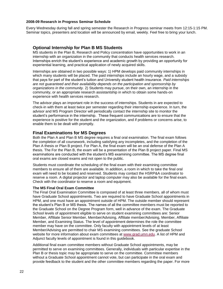#### **2008-09 Research in Progress Seminar Schedule**

Every Wednesday during fall and spring semester the Research in Progress seminar meets from 12:15-1:15 PM. Seminar topics, presenters and location will be announced by email, weekly. Feel free to bring your lunch.

## **Optional Internship for Plan B MS Students**

MS students in the Plan B, Research and Policy concentration have opportunities to work in an internship with an organization in the community that conducts health services research. Internships enrich the student's experience and academic growth by providing an opportunity for experiential learning, and practical application of newly acquired skills.

Internships are obtained in two possible ways: 1) HPM develops paid community internships in which many students will be placed. The paid internships include an hourly wage, and a subsidy that pays for part of the student's tuition and University student health insurance. *Paid internships are not guaranteed and their availability depends on the participation and sponsorship by organizations in the community.* 2) Students may pursue, on their own, an internship in the community, or an appropriate research assistantship in which to obtain some hands-on experience with health services research.

The advisor plays an important role in the success of internships. Students in are expected to check-in with them at least twice per semester regarding their internship experience. In turn, the advisor and MS Program Director will periodically contact the internship site to monitor the student's performance in the internship. These frequent communications are to ensure that the experience is positive for the student and the organization, and if problems or concerns arise, to enable them to be dealt with promptly.

## **Final Examinations for MS Degrees**

Both the Plan A and Plan B MS degree requires a final oral examination. The final exam follows the completion of all coursework, including satisfying any incompletes, and the completion of the Plan A thesis or Plan B project. For Plan A, the final exam will be an oral defense of the Plan A thesis. The For the Plan B, the exam will be a presentation of the Plan B project paper. Final MS examinations are conducted with the student's MS examining committee. The MS degree final oral exams are closed exams and not open to the public.

Students must coordinate the scheduling of the final exam with their examining committee members to ensure all of them are available. In addition, a room in which to take the final oral exam will need to be located and reserved. Students may contact the HSRP&A coordinator to reserve a room. A digital projector and laptop computer may also be available for the final exam. Check with the coordinator to reserve a room and equipment.

#### **The MS Final Oral Exam Committee**

The Final Oral Examination Committee is composed of at least three members, all of whom must have Graduate School appointments. Two are required to have Graduate School appointments in HPM, and one must have an appointment outside of HPM. The outside member should represent the student's Plan B or MS thesis. The names of all the committee members must be reported to the Graduate School on the Degree Program form, well in advance of the exam. The Graduate School levels of appointment eligible to serve on student examining committees are: Senior Member, Affiliate Senior Member, Member/Advising, Affiliate member/Advising, Member, Affiliate Member, and Examining Status. The level of appointment determines the role the committee member may have on the committee. Only faculty with appointment levels of at least Member/Advising are permitted to chair MS examining committees. See the graduate School website for more information about exam committees at [www.grad.umn.edu.](http://www.grad.umn.edu/) A list of HPM and Adjunct faculty levels of appointment is found in this guidebook.

Additional final exam committee members without Graduate School appointments, may be permitted to serve on examining committees. Generally, individuals with particular expertise in the Plan B or thesis topic may be appropriate to serve on the committee. Committee members without a Graduate School appointment cannot vote, but can participate in the oral exam and provide feedback to the student and the other committee members regarding the paper. For more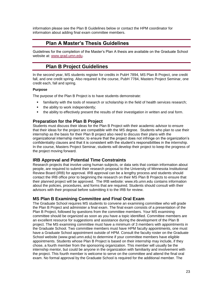information please see the Plan B Guidelines below or contact the HPM coordinator for information about adding final exam committee members.

## **Plan A Master's Thesis Guidelines**

Guidelines for the completion of the Master's Plan A thesis are available on the Graduate School website at: [www.grad.umn.edu.](file:///C:\Documents%20and%20Settings\mandrew\attachments\www.grad.umn.edu)

## **Plan B Project Guidelines**

In the second year, MS students register for credits in PubH 7894, MS Plan B Project, one credit fall, and one credit spring. Also required is the course, PubH 7784, Masters Project Seminar, one credit each, fall and spring.

## **Purpose**

The purpose of the Plan B Project is to have students demonstrate:

- familiarity with the tools of research or scholarship in the field of health services research;
- the ability to work independently;
- the ability to effectively present the results of their investigation in written and oral form.

## **Preparation for the Plan B Project**

Students must discuss their ideas for the Plan B Project with their academic advisor to ensure that their ideas for the project are compatible with the MS degree. Students who plan to use their internship as the basis for their Plan B project also need to discuss their plans with the organizational internship mentor, to ensure that the project does not infringe on the organization's confidentiality clauses and that it is consistent with the student's responsibilities in the internship. In the course, Masters Project Seminar, students will develop their project to keep the progress of the project moving forward.

## **IRB Approval and Potential Time Constraints**

Research projects that involve using human subjects, or data sets that contain information about people, are required to submit their research proposal to the University of Minnesota Institutional Review Board (IRB) for approval. IRB approval can be a lengthy process and students should contact the IRB office prior to beginning the research on their MS Plan B Projects to ensure that their planned project will be approved. The IRB website: [www.irb.umn.edu](http://www.irb.umn.edu/) contains information about the policies, procedures, and forms that are required. Students should consult with their advisors with their proposal before submitting it to the IRB for review.

## **MS Plan B Examining Committee and Final Oral Exam**

The Graduate School requires MS students to convene an examining committee who will grade the Plan B Project and administer a final exam. The final exam consists of a presentation of the Plan B Project, followed by questions from the committee members. Your MS examining committee should be organized as soon as you have a topic identified. Committee members are an excellent resource for suggestions and assistance during the development of the Plan B project. The MS examining committee must have a minimum of 3 members with appointments in the Graduate School. Two committee members must have HPM faculty appointments, one must have a Graduate School appointment outside of HPM. Consult the faculty roster on the Graduate School website [\(www.grad.umn.edu\)](http://www.grad.umn.edu/) to determine if your committee members have eligible appointments. Students whose Plan B Project is based on their internship may include, if they chose, a fourth member from the sponsoring organization. This member will usually be the internship mentor, but could be anyone in the organization with familiarity and involvement with the project. This fourth member is welcome to serve on the committee and attend the final oral exam. No formal approval by the Graduate School is required for the additional member. The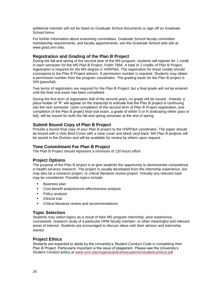additional member will not be listed on Graduate School documents or sign-off on Graduate School forms.

For further information about examining committees, Graduate School faculty committee membership requirements, and faculty appointments, see the Graduate School web site at [www.grad.umn.edu.](http://www.grad.umn.edu/)

## **Registration and Grading of the Plan B Project**

During the fall and spring of the second year of the MS program, students will register for 1 credit in each semester for the MS Plan B Project, PubH 7894. A total of 2 credits of Plan B Project registration is required for the MS degree in HSRP&A. The registration for these credits should correspond to the Plan B Project advisor. A permission number is required. Students may obtain a permission number from the program coordinator. The grading basis for the Plan B project is S/N (pass/fail).

Two terms of registration are required for the Plan B Project, but a final grade will not be entered until the final oral exam has been completed.

During the first term of registration (fall of the second year), no grade will be issued. Instead, a place-holder of "K" will appear on the transcript to indicate that the Plan B project is continuing into the next semester. Upon completion of the second term of Plan B Project registration, and completion of the Plan B project final oral exam, a grade of either S or N (indicating either pass or fail), will be issued for both the fall and spring semester at the end of spring.

## **Submit Bound Copy of Plan B Project**

Provide a bound final copy of your Plan B project to the HSRP&A coordinator. The paper should be bound with a Velo Bind Cover with a clear cover and black vinyl back. MS Plan B projects will be stored in the Division and will be available for review by others upon request.

## **Time Commitment For Plan B Project**

The Plan B Project should represent a minimum of 120 hours effort.

## **Project Options**

The purpose of the Plan B project is to give students the opportunity to demonstrate competence in health services research. The project is usually developed from the internship experience, but may also be a research project, or critical literature review project. Virtually any relevant topic may be considered. Possible topics include:

- **Business plan**
- Cost benefit analysis/cost effectiveness analysis
- Policy analysis
- Clinical trial
- Critical literature review and recommendations

## **Topic Selection**

Students may select topics as a result of their MS program internship, prior experience, coursework, research study of a particular HPM faculty member, or other meaningful and relevant areas of interest. Students are encouraged to discuss ideas with their advisor and internship mentor.

## **Project Ethics**

Students are expected to abide by the University's Student Conduct Code in completing their Plan B Project. Particularly important is the issue of plagiarism. Please see the University's Student Conduct policy at [www.umn.edu/regents/policies/academic/studentconduct.pdf](http://www.umn.edu/regents/policies/academic/studentconduct.pdf)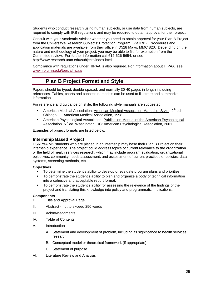Students who conduct research using human subjects, or use data from human subjects, are required to comply with IRB regulations and may be required to obtain approval for their project.

Consult with your Academic Advisor whether you need to obtain approval for your Plan B Project from the University's Research Subjects' Protection Program, (via IRB). Procedures and application materials are available from their office in D528 Mayo, MMC 820. Depending on the nature and methodology of your project, you may be able to file for exemption from the Committee review. For further information call 612-626-5654, or see <http://www.research.umn.edu/subjects/index.html>

Compliance with regulations under HIPAA is also required. For information about HIPAA, see [www.irb.umn.edu/topics/hipaa/](http://www.irb.umn.edu/topics/hipaa/)

## **Plan B Project Format and Style**

Papers should be typed, double-spaced, and normally 30-40 pages in length including references. Tables, charts and conceptual models can be used to illustrate and summarize information.

For reference and guidance on style, the following style manuals are suggested:

- **American Medical Association, American Medical Association Manual of Style.**  $9^{th}$  ed. Chicago, IL: American Medical Association, 1998.
- American Psychological Association, Publication Manual of the American Psychological Association. 5<sup>th</sup> ed. Washington, DC: American Psychological Association, 2001.

Examples of project formats are listed below.

## **Internship Based Project**

HSRP&A MS students who are placed in an internship may base their Plan B Project on their internship experience. The project could address topics of current relevance to the organization or the field of health services research, which may include program evaluation, organizational objectives, community needs assessment, and assessment of current practices or policies, data systems, screening methods, etc.

## **Objectives**

- To determine the student's ability to develop or evaluate program plans and priorities.
- To demonstrate the student's ability to plan and organize a body of technical information into a cohesive and acceptable report format.
- To demonstrate the student's ability for assessing the relevance of the findings of the project and translating this knowledge into policy and programmatic implications.

## **Components**

- I. Title and Approval Page
- II. Abstract not to exceed 250 words
- III. Acknowledgments
- IV. Table of Contents
- V. Introduction
	- A. Statement and development of problem, including its significance to health services research
	- B. Conceptual model or theoretical framework (if appropriate)
	- C. Statement of purpose
- VI. Literature Review and Analysis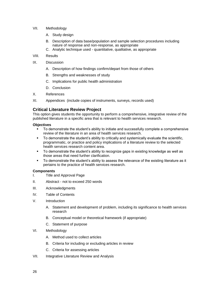- VII. Methodology
	- A. Study design
	- B. Description of data base/population and sample selection procedures including nature of response and non-response, as appropriate
	- C. Analytic technique used quantitative, qualitative, as appropriate
- VIII. Results
- IX. Discussion
	- A. Description of how findings confirm/depart from those of others
	- B. Strengths and weaknesses of study
	- C. Implications for public health administration
	- D. Conclusion
- X. References
- XI. Appendices (include copies of instruments, surveys, records used)

## **Critical Literature Review Project**

This option gives students the opportunity to perform a comprehensive, integrative review of the published literature in a specific area that is relevant to health services research.

## **Objectives**

- To demonstrate the student's ability to initiate and successfully complete a comprehensive review of the literature in an area of health services research.
- To demonstrate the student's ability to critically and systemically evaluate the scientific, programmatic, or practice and policy implications of a literature review to the selected health services research content area.
- To demonstrate the student's ability to recognize gaps in existing knowledge as well as those areas that need further clarification.
- To demonstrate the student's ability to assess the relevance of the existing literature as it pertains to the practice of health services research.

## **Components**

- I. Title and Approval Page
- II. Abstract not to exceed 250 words
- III. Acknowledgments
- IV. Table of Contents
- V. Introduction
	- A. Statement and development of problem, including its significance to health services research
	- B. Conceptual model or theoretical framework (if appropriate)
	- C. Statement of purpose
- VI. Methodology
	- A. Method used to collect articles
	- B. Criteria for including or excluding articles in review
	- C. Criteria for assessing articles
- VII. Integrative Literature Review and Analysis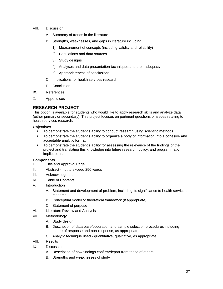## VIII. Discussion

- A. Summary of trends in the literature
- B. Strengths, weaknesses, and gaps in literature including
	- 1) Measurement of concepts (including validity and reliability)
	- 2) Populations and data sources
	- 3) Study designs
	- 4) Analyses and data presentation techniques and their adequacy
	- 5) Appropriateness of conclusions
- C. Implications for health services research
- D. Conclusion
- IX. References
- X. Appendices

## **RESEARCH PROJECT**

This option is available for students who would like to apply research skills and analyze data (either primary or secondary). This project focuses on pertinent questions or issues relating to health services research.

## **Objectives**

- To demonstrate the student's ability to conduct research using scientific methods.
- To demonstrate the student's ability to organize a body of information into a cohesive and acceptable analytic format.
- To demonstrate the student's ability for assessing the relevance of the findings of the project and translating this knowledge into future research, policy, and programmatic implications.

## **Components**

- I. Title and Approval Page
- II. Abstract not to exceed 250 words
- III. Acknowledgments
- IV. Table of Contents
- V. Introduction
	- A. Statement and development of problem, including its significance to health services research
	- B. Conceptual model or theoretical framework (if appropriate)
	- C. Statement of purpose
- VI. Literature Review and Analysis
- VII. Methodology
	- A. Study design
	- B. Description of data base/population and sample selection procedures including nature of response and non-response, as appropriate
	- C. Analytic technique used quantitative, qualitative, as appropriate
- VIII. Results
- IX. Discussion
	- A. Description of how findings confirm/depart from those of others
	- B. Strengths and weaknesses of study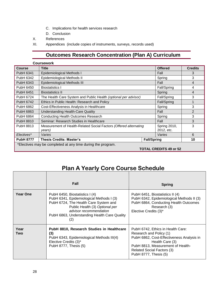- C. Implications for health services research
- D. Conclusion
- X. References
- XI. Appendices (include copies of instruments, surveys, records used)

## **Outcomes Research Concentration (Plan A) Curriculum**

|                                                             | <b>Coursework</b>                                                                                         |             |                               |                |
|-------------------------------------------------------------|-----------------------------------------------------------------------------------------------------------|-------------|-------------------------------|----------------|
| <b>Course</b>                                               | <b>Title</b>                                                                                              |             | <b>Offered</b>                | <b>Credits</b> |
| <b>PubH 6341</b>                                            | Epidemiological Methods I                                                                                 | Fall        | 3                             |                |
| PubH 6342                                                   | Epidemiological Methods II                                                                                | Spring      | 3                             |                |
| PubH 6343                                                   | Epidemiological Methods III                                                                               |             | Fall                          | $\overline{4}$ |
| PubH 6450                                                   | <b>Biostatistics I</b>                                                                                    |             | Fall/Spring                   | 4              |
| <b>PubH 6451</b>                                            | <b>Biostatistics II</b>                                                                                   |             | Spring                        | 4              |
| PubH 6724                                                   | The Health Care System and Public Health (optional per advisor)                                           |             | Fall/Spring                   | 3              |
| <b>PubH 6742</b>                                            | Ethics in Public Health: Research and Policy                                                              | Fall/Spring | 4                             |                |
| <b>PubH 6862</b>                                            | Cost-Effectiveness Analysis in Healthcare                                                                 | Spring      | 3                             |                |
| PubH 6863                                                   | <b>Understanding Health-Care Quality</b><br>Fall                                                          |             |                               |                |
| <b>PubH 6864</b>                                            | <b>Conducting Health Outcomes Research</b><br>Spring                                                      |             |                               |                |
| PubH 8810                                                   | Seminar: Research Studies in Healthcare<br>Fall                                                           |             |                               |                |
| <b>PubH 8813</b>                                            | Measurement of Health-Related Social Factors (Offered alternating<br>Spring 2010,<br>2012, etc.<br>years) |             |                               | 3              |
| Electives*                                                  | Varies                                                                                                    |             | Varies                        | 6              |
| <b>PubH 8777</b>                                            | <b>Thesis Credits: Master's</b><br><b>Fall/Spring</b>                                                     |             |                               | 10             |
| *Electives may be completed at any time during the program. |                                                                                                           |             |                               |                |
|                                                             |                                                                                                           |             | <b>TOTAL CREDITS 49 or 52</b> |                |

## **Plan A Yearly Core Course Schedule**

|                 | <b>Fall</b>                                                                                                                                                                                                                            | <b>Spring</b>                                                                                                                                                                                                                   |
|-----------------|----------------------------------------------------------------------------------------------------------------------------------------------------------------------------------------------------------------------------------------|---------------------------------------------------------------------------------------------------------------------------------------------------------------------------------------------------------------------------------|
| <b>Year One</b> | PubH 6450, Biostatistics I (4)<br>PubH 6341, Epidemiological Methods I (3)<br>PubH 6724, The Health Care System and<br>Public Health (3) Optional per<br>advisor recommendation<br>PubH 6863, Understanding Health Care Quality<br>(2) | PubH 6451, Biostatistics II (4)<br>PubH 6342, Epidemiological Methods II (3)<br>PubH 6864, Conducting Health Outcomes<br>Research (3)<br>Elective Credits (3)*                                                                  |
| Year<br>Two     | PubH 8810, Research Studies in Healthcare<br>(3)<br>PubH 6343, Epidemiological Methods III(4)<br>Elective Credits (3)*<br>PubH 8777, Thesis (5)                                                                                        | PubH 6742, Ethics in Health Care:<br>Research and Policy (1)<br>PubH 6862, Cost-Effectiveness Analysis in<br>Health Care (3)<br>PubH 8813, Measurement of Health-<br><b>Related Social Factors (3)</b><br>PubH 8777, Thesis (5) |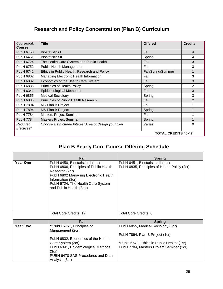## **Research and Policy Concentration (Plan B) Curriculum**

| Coursework<br><b>Course</b> | <b>Title</b>                                         | <b>Offered</b>             | <b>Credits</b> |
|-----------------------------|------------------------------------------------------|----------------------------|----------------|
| <b>PubH 6450</b>            | <b>Biostatistics I</b>                               | Fall                       | 4              |
| PubH 6451                   | <b>Biostatistics II</b>                              | Spring                     | 4              |
| PubH 6724                   | The Health Care System and Public Health             | Fall                       | 3              |
| PubH 6752                   | Public Health Management                             | Fall                       | 3              |
| PubH 6742                   | Ethics in Public Health: Research and Policy         | Fall/Spring/Summer         | $\mathbf 1$    |
| <b>PubH 6802</b>            | Managing Electronic Health Information               | Fall                       | 3              |
| PubH 6832                   | Economics of the Health Care System                  | Fall                       | 3              |
| PubH 6835                   | Principles of Health Policy                          | Spring                     | $\overline{2}$ |
| <b>PubH 6341</b>            | Epidemiological Methods I                            | Fall                       | 3              |
| PubH 6855                   | <b>Medical Sociology</b>                             | Spring                     | 3              |
| <b>PubH 6806</b>            | Principles of Public Health Research                 | Fall                       | 2              |
| PubH 7894                   | MS Plan B Project                                    | Fall                       |                |
| <b>PubH 7894</b>            | MS Plan B Project                                    | Spring                     |                |
| PubH 7784                   | <b>Masters Project Seminar</b>                       | Fall                       |                |
| <b>PubH 7784</b>            | <b>Masters Project Seminar</b>                       | Spring                     |                |
| Required<br>Electives*      | Choose a structured Interest Area or design your own | Varies                     | 9              |
|                             |                                                      | <b>TOTAL CREDITS 45-47</b> |                |

## **Plan B Yearly Core Course Offering Schedule**

Г

|                 | Fall                                                                                                                                                                                                                       | <b>Spring</b>                                                                                                                                                   |
|-----------------|----------------------------------------------------------------------------------------------------------------------------------------------------------------------------------------------------------------------------|-----------------------------------------------------------------------------------------------------------------------------------------------------------------|
| <b>Year One</b> | PubH 6450, Biostatistics I (4cr)<br>PubH 6806, Principles of Public Health<br>Research (2cr)<br>PubH 6802 Managing Electronic Health<br>Information (3cr)<br>PubH 6724, The Health Care System<br>and Public Health (3 cr) | PubH 6451, Biostatistics II (4cr)<br>PubH 6835, Principles of Health Policy (2cr)                                                                               |
|                 | <b>Total Core Credits: 12</b>                                                                                                                                                                                              | Total Core Credits: 6                                                                                                                                           |
|                 | <b>Fall</b>                                                                                                                                                                                                                | <b>Spring</b>                                                                                                                                                   |
| <b>Year Two</b> | **PubH 6751, Principles of<br>Management (2cr)<br>PubH 6832, Economics of the Health<br>Care System (3cr)<br>PubH 6341, Epidemiological Methods I<br>(3cr)<br>PUBH 6470 SAS Procedures and Data<br>Analysis (3cr)          | PubH 6855, Medical Sociology (3cr)<br>PubH 7894, Plan B Project (1cr)<br>*PubH 6742, Ethics in Public Health: (1cr)<br>PubH 7784, Masters Project Seminar (1cr) |

٦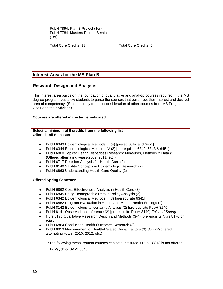| PubH 7894, Plan B Project (1cr)<br>PubH 7784, Masters Project Seminar<br>(1cr) |                       |
|--------------------------------------------------------------------------------|-----------------------|
| Total Core Credits: 13                                                         | Total Core Credits: 6 |

## **Interest Areas for the MS Plan B**

## **Research Design and Analysis**

This interest area builds on the foundation of quantitative and analytic courses required in the MS degree program, but allow students to purse the courses that best meet their interest and desired area of competency. (Students may request consideration of other courses from MS Program Chair and their Advisor.)

## **Courses are offered in the terms indicated**

## **Select a minimum of 9 credits from the following list Offered Fall Semester:**

- PubH 6343 Epidemiological Methods III (4) [prereq 6342 and 6451]
- PubH 6344 Epidemiological Methods IV (2) [prerequisite 6342, 6343 & 6451]
- PubH 6800 Topics: Health Disparities Research: Measures, Methods & Data (2)  $\bullet$ (Offered alternating years-2009, 2011, etc.)
- PubH 6717 Decision Analysis for Health Care (2)
- PubH 8140 Validity Concepts in Epidemiologic Research (2)
- PubH 6863 Understanding Health Care Quality (2)  $\bullet$

## **Offered Spring Semester**

- PubH 6862 Cost-Effectiveness Analysis in Health Care (3)
- PubH 6845 Using Demographic Data in Policy Analysis (3)
- PubH 6342 Epidemiological Methods II (3) [prerequisite 6341]
- PubH 6852 Program Evaluation in Health and Mental Health Settings (2)
- PubH 8142 Epidemiologic Uncertainty Analysis (2) [prerequisite PubH 8140]
- PubH 8141 Observational Inference (2) [prerequisite PubH 8140] *Fall and Spring*
- Nurs 8171 Qualitative Research Design and Methods (3-4) [prerequisite Nurs 8170 or  $\bullet$ equiv]
- PubH 6864 Conducting Health Outcomes Research (3)
- $\bullet$ PubH 8813 Measurement of Health-Related Social Factors (3) *Spring*\*(offered alternating years: 2010, 2012, etc.)

 \*The following measurement courses can be substituted if PubH 8813 is not offered: EdPsych or SAPH8840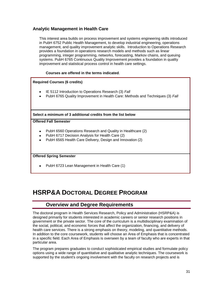## **Analytic Management in Health Care**

This interest area builds on process improvement and systems engineering skills introduced in PubH 6752 Public Health Management, to develop industrial engineering, operations management, and quality improvement analytic skills. Introduction to Operations Research provides a foundation in operations research models and methods such as linear programming, integer programming, networks, forecasting, Markov chains, and queuing systems. PubH 6765 Continuous Quality Improvement provides a foundation in quality improvement and statistical process control in health care settings.

## **Courses are offered in the terms indicated**.

## **Required Courses (6 credits)**

- IE 5112 Introduction to Operations Research (3) *Fall*
- PubH 6765 Quality Improvement in Health Care: Methods and Techniques (3) *Fall*

**Select a minimum of 3 additional credits from the list below**

## **Offered Fall Semester**

- PubH 6560 Operations Research and Quality in Healthcare (2)  $\bullet$
- PubH 6717 Decision Analysis for Health Care (2)
- PubH 6565 Health Care Delivery, Design and Innovation (2)

## **Offered Spring Semester**

PubH 6723 Lean Management in Health Care (1)

## **HSRP&A DOCTORAL DEGREE PROGRAM**

## **Overview and Degree Requirements**

The doctoral program in Health Services Research, Policy and Administration (HSRP&A) is designed primarily for students interested in academic careers or senior research positions in government or the private sector. The core of the curriculum is a multidisciplinary examination of the social, political, and economic forces that affect the organization, financing, and delivery of health care services. There is a strong emphasis on theory, modeling, and quantitative methods. In addition to the core coursework, students will choose an Area of Emphasis that is concentrated in a specific field. Each Area of Emphasis is overseen by a team of faculty who are experts in that particular area.

The program prepares graduates to conduct sophisticated empirical studies and formulate policy options using a wide range of quantitative and qualitative analytic techniques. The coursework is supported by the student's ongoing involvement with the faculty on research projects and is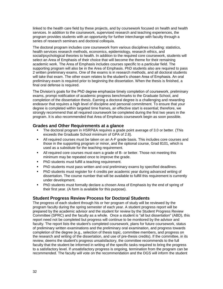linked to the health care field by these projects, and by coursework focused on health and health services. In addition to the coursework, supervised research and teaching experiences, the program provides students with an opportunity for further interchange with faculty through a series of research seminars and doctoral colloquia.

The doctoral program includes core coursework from various disciplines including: statistics, health services research methods, economics, epidemiology, research ethics, and social/psychological theories to health. In addition to the required core coursework, students will select an Area of Emphasis of their choice that will become the theme for their remaining academic work. The Area of Emphasis includes courses specific to a particular field. The supporting program will also be in the Area of Emphasis. PhD students also are required to pass 2 written preliminary exams. One of the exams is in research methods, and all doctoral students will take that exam. The other exam relates to the student's chosen Area of Emphasis. An oral preliminary exam is required prior to beginning the dissertation. When the thesis is finished, a final oral defense is required.

The Division's goals for the PhD degree emphasize timely completion of coursework, preliminary exams, prompt notification of academic progress benchmarks to the Graduate School, and completion of the dissertation thesis. Earning a doctoral degree is a challenging and rewarding endeavor that requires a high level of discipline and personal commitment. To ensure that your degree is completed within targeted time frames, an effective start is essential; therefore, we strongly recommend that all required coursework be completed during the first two years in the program. It is also recommended that Area of Emphasis coursework begin as soon possible.

## **Grades and Other Requirements at a glance**

- The doctoral program in HSRP&A requires a grade point average of 3.0 or better. (This exceeds the Graduate School minimum of GPA of 2.8).
- All required courses must be taken on an A-F grade basis. This includes core courses and those in the supporting program or minor, and the optional course, Grad 8101, which is used as a substitute for the teaching requirement.
- All required core courses must earn a grade of B- or better. Those not meeting this minimum may be repeated once to improve the grade.
- PhD students must fulfill a teaching requirement.
- PhD students must pass written and oral preliminary exams by specified deadlines.
- PhD students must register for 4 credits per academic year during advanced writing of dissertation. The course number that will be available to fulfill this requirement is currently under development.
- PhD students must formally declare a chosen Area of Emphasis by the end of spring of their first year. (A form is available for this purpose).

## **Student Progress Review Process for Doctoral Students**

The progress of each student through his or her program of study will be reviewed by the program faculty during the spring semester of each year. A student progress report will be prepared by the academic advisor and the student for review by the Student Progress Review Committee (SPRC) and the faculty as a whole. Once a student is "all but dissertation" (ABD), this report need not be completed but progress will continue to be monitored by the advisor and faculty. The report lists the student's completed coursework, plans for future coursework, status of preliminary written examinations and the preliminary oral examination, and progress towards completion of the degree (e.g., selection of thesis topic, committee members, and progress on the research and writing of the dissertation, and use of pre-thesis credits). If the committee, in its review, deems the student's progress unsatisfactory, the committee recommends to the full faculty that the student be informed in writing of the specific tasks required to bring the progress to a satisfactory level. If unsatisfactory progress is ongoing, termination from the program can be recommended. The faculty will vote on the recommendation and the DGS will inform the student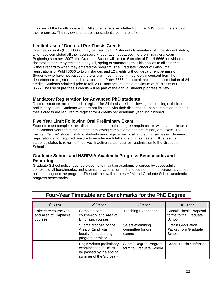in writing of the faculty's decision. All students receive a letter from the DGS noting the status of their progress. The review is a part of the student's permanent file.

## **Limited Use of Doctoral Pre-Thesis Credits**

Pre-thesis credits (PubH 8666) may be used by PhD students to maintain full time student status, who have completed all their coursework, but have not passed the preliminary oral exam. Beginning summer, 2007, the Graduate School will limit to 6 credits of PubH 8666 for which a doctoral student may register in any fall, spring or summer term. This applies to all students without regard to when they entered the program. The Graduate School will also limit registrations of PubH 8666 to two instances and 12 credits without department permission. Students who have not passed the oral prelim by that point must obtain consent from the department to register for additional terms of PubH 8666, for a total maximum accumulation of 24 credits. Students admitted prior to fall, 2007 may accumulate a maximum of 60 credits of PubH 8666. The use of pre-thesis credits will be part of the annual student progress review.

## **Mandatory Registration for Advanced PhD students**

Doctoral students are required to register for 24 thesis credits following the passing of their oral preliminary exam. Students who are not finished with their dissertation upon completion of the 24 thesis credits are required to register for 4 credits per academic year until finished.

## **Five Year Limit Following Oral Preliminary Exam**

Students must complete their dissertation and all other degree requirements within a maximum of five calendar years from the semester following completion of the preliminary oral exam. To maintain "active" student status, students must register each fall and spring semester. Summer registration is not required. Failure to register each fall and spring semester will cause the student's status to revert to "inactive." Inactive status requires readmission to the Graduate School.

## **Graduate School and HSRP&A Academic Progress Benchmarks and Reporting**

Graduate School policy requires students to maintain academic progress by successfully completing all benchmarks, and submitting various forms that document their progress at various points throughout the program. The table below illustrates HPM and Graduate School academic progress benchmarks.

| 2 <sup>nd</sup> Year<br>1 <sup>st</sup> Year            |                                                                                                           | 3rd Year                                         | 4 <sup>th</sup> Year                                              |  |
|---------------------------------------------------------|-----------------------------------------------------------------------------------------------------------|--------------------------------------------------|-------------------------------------------------------------------|--|
| Take core coursework<br>and Area of Emphasis<br>courses | Complete core<br>coursework and Area of<br>Emphasis courses                                               | Teaching Experience*                             | Submit Thesis Proposal<br>forms to the Graduate<br>School         |  |
|                                                         | Submit proposal to the<br>Area of Emphasis<br>faculty for supporting<br>program or minor                  | Select examining<br>committee for oral<br>exams  | <b>Obtain Graduation</b><br><b>Packet from Graduate</b><br>School |  |
|                                                         | Begin written preliminary<br>examinations (all must<br>be passed by the end of<br>summer of the 3rd year) | Submit Degree Program<br>form to Graduate School | Schedule PhD defense                                              |  |

## **Four-Year Timetable and Benchmarks for the PhD Degree**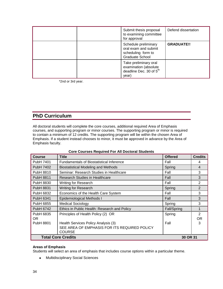|  | Submit thesis proposal<br>to examining committee<br>for approval                               | Defend dissertation |
|--|------------------------------------------------------------------------------------------------|---------------------|
|  | Schedule preliminary<br>oral exam and submit<br>scheduling form to<br>Graduate School          | <b>GRADUATE!!</b>   |
|  | Take preliminary oral<br>examination (absolute<br>deadline Dec. 30 of 5 <sup>th</sup><br>year) |                     |

\*2nd or 3rd year.

## **PhD Curriculum**

All doctoral students will complete the core courses, additional required Area of Emphasis courses, and supporting program or minor courses. The supporting program or minor is required to contain a minimum of 12 credits. The supporting program will be within the chosen Area of Emphasis. If a student instead chooses to minor, it must be approved in advance by the Area of Emphasis faculty.

| <b>Course</b>                         | Title                                           | <b>Offered</b> | <b>Credits</b> |
|---------------------------------------|-------------------------------------------------|----------------|----------------|
| PubH 7401                             | <b>Fundamentals of Biostatistical Inference</b> | Fall           | 4              |
| PubH 7402                             | <b>Biostatistical Modeling and Methods</b>      | Spring         | 4              |
| PubH 8810                             | Seminar: Research Studies in Healthcare         | Fall           | 3              |
| <b>PubH 8811</b>                      | Research Studies in Healthcare                  | Fall           | 3              |
| PubH 8830                             | <b>Writing for Research</b>                     | Fall           | 2              |
| <b>PubH 8831</b>                      | <b>Writing for Research</b>                     | Spring         | $\overline{2}$ |
| PubH 6832                             | Economics of the Health Care System             | Fall           | 3              |
| PubH 6341                             | Epidemiological Methods I                       | Fall           | 3              |
| PubH 6855                             | <b>Medical Sociology</b>                        | Spring         | 3              |
| PubH 6742                             | Ethics in Public Health: Research and Policy    | Fall/Spring    |                |
| PubH 6835                             | Principles of Health Policy (2) OR              | Spring         | $\mathcal{P}$  |
| OR.                                   |                                                 |                | OR.            |
| PubH 8801                             | Health Services Policy Analysis (3)             | Fall           | 3              |
|                                       | SEE AREA OF EMPHASIS FOR ITS REQUIRED POLICY    |                |                |
|                                       | <b>COURSE</b>                                   |                |                |
| <b>Total Core Credits</b><br>30 OR 31 |                                                 |                |                |

## **Core Courses Required For All Doctoral Students**

## **Areas of Emphasis**

Students will select an area of emphasis that includes course options within a particular theme.

Multidisciplinary Social Sciences $\bullet$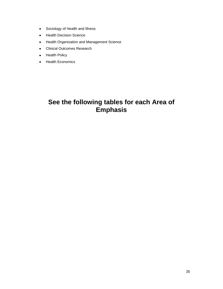- Sociology of Health and Illness  $\bullet$
- Health Decision Science  $\bullet$
- Health Organization and Management Science  $\bullet$
- Clinical Outcomes Research
- Health Policy  $\bullet$
- Health Economics  $\bullet$

## **See the following tables for each Area of Emphasis**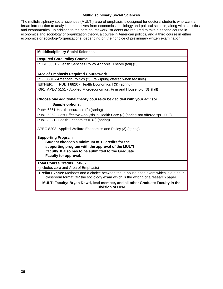## **Multidisciplinary Social Sciences**

The multidisciplinary social sciences (MULTI) area of emphasis is designed for doctoral students who want a broad introduction to analytic perspectives from economics, sociology and political science, along with statistics and econometrics. In addition to the core coursework, students are required to take a second course in economics and sociology or organization theory, a course in American politics, and a third course in either economics or sociology/organizations, depending on their choice of preliminary written examination.

| <b>Multidisciplinary Social Sciences</b>                                                                                                                                                                           |
|--------------------------------------------------------------------------------------------------------------------------------------------------------------------------------------------------------------------|
| <b>Required Core Policy Course</b>                                                                                                                                                                                 |
| PUBH 8801 - Health Services Policy Analysis: Theory (fall) (3)                                                                                                                                                     |
|                                                                                                                                                                                                                    |
| <b>Area of Emphasis Required Coursework</b>                                                                                                                                                                        |
| POL 8301 - American Politics (3) (fall/spring offered when feasible)                                                                                                                                               |
| PUBH 8820 - Health Economics I (3) (spring)<br>EITHER:                                                                                                                                                             |
| OR: APEC 5151 - Applied Microeconomics: Firm and Household (3) (fall)                                                                                                                                              |
|                                                                                                                                                                                                                    |
| Choose one additional theory course-to be decided with your advisor                                                                                                                                                |
| Sample options:                                                                                                                                                                                                    |
| PubH 6861-Health Insurance (2) (spring)                                                                                                                                                                            |
| PubH 6862- Cost Effective Analysis in Health Care (3) (spring-not offered spr 2008)                                                                                                                                |
| PubH 8821- Health Economics II (3) (spring)                                                                                                                                                                        |
| APEC 8203- Applied Welfare Economics and Policy (3) (spring)                                                                                                                                                       |
| <b>Supporting Program</b><br>Student chooses a minimum of 12 credits for the<br>supporting program with the approval of the MULTI<br>faculty. It also has to be submitted to the Graduate<br>Faculty for approval. |
| <b>Total Course Credits 50-52</b>                                                                                                                                                                                  |
| (includes core and Area of Emphasis)                                                                                                                                                                               |
| <b>Prelim Exams:</b> Methods and a choice between the in-house econ exam which is a 5 hour<br>classroom format OR the sociology exam which is the writing of a research paper.                                     |
| MULTI Faculty: Bryan Dowd, lead member, and all other Graduate Faculty in the<br><b>Division of HPM</b>                                                                                                            |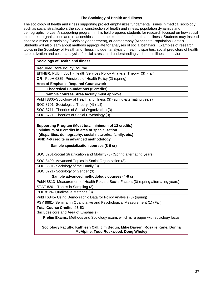## **The Sociology of Health and Illness**

The sociology of health and illness supporting project emphasizes fundamental issues in medical sociology, such as social stratification, the social construction of health and illness, population dynamics and demographic forces. A supporting program in this field prepares students for research focused on how social structures, organizations and relationships shape the experience of health and illness. Students may instead choose a minor in sociology (Sociology department), or demography (Minnesota Population Center). Students will also learn about methods appropriate for analyses of social behavior. Examples of research topics in the Sociology of Health and Illness include: analysis of health disparities; social predictors of health care utilization and costs; analysis of social stress; and understanding variation in illness behavior.

| <b>Sociology of Health and Illness</b>                                        |
|-------------------------------------------------------------------------------|
| <b>Required Core Policy Course</b>                                            |
| <b>EITHER:</b> PUBH 8801 - Health Services Policy Analysis: Theory (3) (fall) |
| OR PubH 6835- Principles of Health Policy (2) (spring)                        |
| <b>Area of Emphasis Required Coursework</b>                                   |
| <b>Theoretical Foundations (6 credits)</b>                                    |
| Sample courses. Area faculty must approve.                                    |
| PubH 8805-Sociology of Health and Illness (3) (spring-alternating years)      |
| SOC 8701- Sociological Theory (4) (fall)                                      |
| SOC 8711- Theories of Social Organization (3)                                 |
| SOC 8721- Theories of Social Psychology (3)                                   |
|                                                                               |
| Supporting Program (Must total minimum of 12 credits)                         |
| Minimum of 8 credits in area of specialization                                |
| (disparities, demography, social networks, family, etc.)                      |
| AND 4-6 credits in advanced methodology                                       |
| Sample specialization courses (8-9 cr)                                        |
| SOC 8201-Social Stratification and Mobility (3) (Spring alternating years)    |
| SOC 8490- Advanced Topics in Social Organization (3)                          |

SOC 8501- Sociology of the Family (3)

SOC 8221- Sociology of Gender (3)

 **Sample advanced methodology courses (4-6 cr)**

PubH 8813- Measurement of Health Related Social Factors (3) (spring alternating years)

STAT 8201- Topics in Sampling (3)

POL 8126- Qualitative Methods (3)

PubH 6845- Using Demographic Data for Policy Analysis (3) (spring)

PSY 8881- Seminar in Quantitative and Psychological Measurement (1) (Fall)

**Total Course Credits 48-52**

(Includes core and Area of Emphasis)

**Prelim Exams:** Methods and Sociology exam, which is a paper with sociology focus

**Sociology Faculty: Kathleen Call, Jim Begun, Mike Davern, Rosalie Kane, Donna McAlpine, Todd Rockwood, Doug Wholey**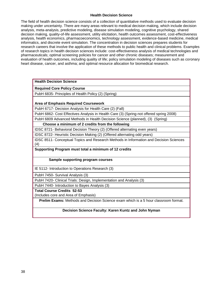## **Health Decision Science**

The field of health decision science consists of a collection of quantitative methods used to evaluate decision making under uncertainty. There are many areas relevant to medical decision making, which include decision analysis, meta-analysis, predictive modeling, disease simulation modeling, cognitive psychology, shared decision making, quality-of-life assessment, utility elicitation, health outcomes assessment, cost-effectiveness analysis, health economics, pharmacoeconomics, technology assessment, evidence-based medicine, medical informatics, and discrete event simulation. The concentration in decision sciences prepares students for research careers that involve the application of these methods to public health and clinical problems. Examples of research topics in health decision sciences include: cost-effectiveness analysis of medical technologies and pharmaceuticals; optimal screening policies for cancer and other chronic diseases; measurement and evaluation of health outcomes, including quality of life; policy simulation modeling of diseases such as coronary heart disease, cancer, and asthma; and optimal resource allocation for biomedical research.

## **Health Decision Science**

**Required Core Policy Course**

PubH 6835- Principles of Health Policy (2) (Spring)

## **Area of Emphasis Required Coursework**

PubH 6717- Decision Analysis for Health Care (2) (Fall)

PubH 6862- Cost Effectives Analysis in Health Care (3) (Spring-not offered spring 2008)

PubH 6809 Advanced Methods in Health Decision Science (planned), (3) (Spring)

**Choose a minimum of 2 credits from the following**

IDSC 8721- Behavioral Decision Theory (2) (Offered alternating even years)

IDSC 8722- Heuristic Decision Making (2) (Offered alternating odd years)

IDSC 8511- Conceptual Topics and Research Methods in Information and Decision Sciences (4)

## **Supporting Program must total a minimum of 12 credits**

## **Sample supporting program courses**

IE 5112- Introduction to Operations Research (3)

PubH 7450- Survival Analysis (3)

PubH 7420- Clinical Trials: Design, Implementation and Analysis (3)

PubH 7440- Introduction to Bayes Analysis (3)

**Total Course Credits 52-53**

(Includes core and Area of Emphasis)

**Prelim Exams:** Methods and Decision Science exam which is a 5 hour classroom format.

## **Decision Science Faculty: Karen Kuntz and John Nyman**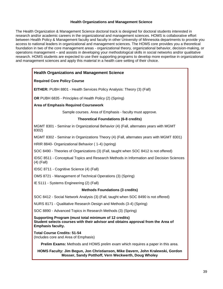## **Health Organizations and Management Science**

The Health Organization & Management Science doctoral track is designed for doctoral students interested in research and/or academic careers in the organizational and management sciences. HOMS is collaborative effort between Health Policy & Management faculty and faculty in other University of Minnesota departments to provide you access to national leaders in organizational and management sciences. The HOMS core provides you a theoretical foundation in two of the core management areas - organizational theory, organizational behavior, decision-making, or operations management – and assists in developing your methodological skills in social networks and/or qualitative research. HOMS students are expected to use their supporting programs to develop more expertise in organizational and management sciences and apply this material in a health care setting of their choice.

## **Health Organizations and Management Science**

## **Required Core Policy Course**

**EITHER:** PUBH 8801 - Health Services Policy Analysis: Theory (3) (Fall)

**OR** PUBH 6835 - Principles of Health Policy (2) (Spring)

**Area of Emphasis Required Coursework**

Sample courses. Area of Emphasis - faculty must approve.

## **Theoretical Foundations (6-8 credits)**

MGMT 8301 - Seminar in Organizational Behavior (4) (Fall, alternates years with MGMT 8302)

MGMT 8302 - Seminar in Organizations Theory (4) (Fall, alternates years with MGMT 8301)

HRIR 8840- Organizational Behavior ( 1-4) (spring)

SOC 8490 - Theories of Organizations (3) (Fall, taught when SOC 8412 is not offered)

IDSC 8511 - Conceptual Topics and Research Methods in Information and Decision Sciences (4) (Fall)

IDSC 8711 - Cognitive Science (4) (Fall)

OMS 8721 - Management of Technical Operations (3) (Spring)

IE 5111 - Systems Engineering (2) (Fall)

## **Methods Foundations (3 credits)**

SOC 8412 - Social Network Analysis (3) (Fall, taught when SOC 8490 is not offered)

NURS 8171 - Qualitative Research Design and Methods (3-4) (Spring)

SOC 8890 - Advanced Topics in Research Methods (3) (Spring)

**Supporting Program (must total minimum of 12 credits) Student selects courses with their advisor and obtains approval from the Area of Emphasis faculty.**

**Total Course Credits: 51-54** (Includes core and Area of Emphasis)

**Prelim Exams:** Methods and HOMS prelim exam which requires a paper in this area.

**HOMS Faculty: Jim Begun, Jon Christianson, Mike Davern, John Kralewski, Gordon Mosser, Sandy Potthoff, Vern Weckwerth, Doug Wholey**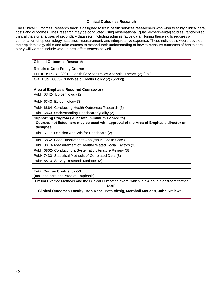## **Clinical Outcomes Research**

The Clinical Outcomes Research track is designed to train health services researchers who wish to study clinical care, costs and outcomes. Their research may be conducted using observational (quasi-experimental) studies, randomized clinical trials or analyses of secondary data sets, including administrative data. Honing these skills requires a combination of epidemiology, statistics, measurement, and interpretative expertise. These individuals would develop their epidemiology skills and take courses to expand their understanding of how to measure outcomes of health care. Many will want to include work in cost-effectiveness as well.

| <b>Clinical Outcomes Research</b>                                                                        |
|----------------------------------------------------------------------------------------------------------|
| <b>Required Core Policy Course</b>                                                                       |
| <b>EITHER:</b> PUBH 8801 - Health Services Policy Analysis: Theory (3) (Fall)                            |
| OR PubH 6835- Principles of Health Policy (2) (Spring)                                                   |
|                                                                                                          |
| <b>Area of Emphasis Required Coursework</b>                                                              |
| PubH 6342- Epidemiology (2)                                                                              |
| PubH 6343- Epidemiology (3)                                                                              |
| PubH 6864- Conducting Health Outcomes Research (3)                                                       |
| PubH 6863- Understanding Healthcare Quality (2)                                                          |
| <b>Supporting Program (Must total minimum 12 credits)</b>                                                |
| Courses not listed here may be used with approval of the Area of Emphasis director or                    |
| designee.                                                                                                |
| PubH 6717- Decision Analysis for Healthcare (2)                                                          |
| PubH 6862- Cost Effectiveness Analysis in Health Care (3)                                                |
| PubH 8813- Measurement of Health-Related Social Factors (3)                                              |
| PubH 6802- Conducting a Systematic Literature Review (3)                                                 |
| PubH 7430- Statistical Methods of Correlated Data (3)                                                    |
| PubH 6810- Survey Research Methods (3)                                                                   |
| <b>Total Course Credits 52-53</b>                                                                        |
| (Includes core and Area of Emphasis)                                                                     |
| <b>Prelim Exams:</b> Methods and the Clinical Outcomes exam which is a 4 hour, classroom format<br>exam. |
| Clinical Outcomes Faculty: Bob Kane, Beth Virnig, Marshall McBean, John Kralewski                        |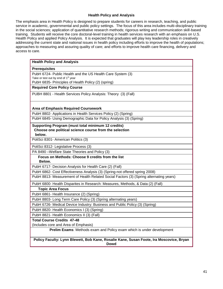## **Health Policy and Analysis**

The emphasis area in Health Policy is designed to prepare students for careers in research, teaching, and public service in academic, governmental and public policy settings. The focus of this area includes multi-disciplinary training in the social sciences; application of quantitative research methods; rigorous writing and communication skill-based training. Students will receive the core doctoral-level training in health services research with an emphasis on U.S. Health Policy and applied Policy Analysis. It is expected that graduates will play key leadership roles in creatively addressing the current state and national issues in health policy including efforts to improve the health of populations; approaches to measuring and assuring quality of care; and efforts to improve health care financing, delivery and access to care.

| <b>Health Policy and Analysis</b>                                                                                      |
|------------------------------------------------------------------------------------------------------------------------|
| <b>Prerequisites</b>                                                                                                   |
| PubH 6724- Public Health and the US Health Care System (3)                                                             |
| Take or test out by end of 1 <sup>st</sup> year                                                                        |
| PubH 6835- Principles of Health Policy (2) (spring)                                                                    |
| <b>Required Core Policy Course</b>                                                                                     |
| PUBH 8801 - Health Services Policy Analysis: Theory (3) (Fall)                                                         |
| <b>Area of Emphasis Required Coursework</b>                                                                            |
| PubH 8802- Applications in Health Services Policy (2) (Spring)                                                         |
| PubH 6845- Using Demographic Data for Policy Analysis (3) (Spring)                                                     |
| Supporting Program (must total minimum 12 credits)<br>Choose one political science course from the selection<br>below. |
| PoliSci 8301 - American Politics (3)                                                                                   |
| PoliSci 8312- Legislative Process (3)                                                                                  |
| PA 8490 - Welfare State Theories and Policy (3)                                                                        |
| Focus on Methods: Choose 9 credits from the list<br>Below.                                                             |
| PubH 6717- Decision Analysis for Health Care (2) (Fall)                                                                |
| PubH 6862- Cost Effectiveness Analysis (3) (Spring-not offered spring 2008)                                            |
| PubH 8813- Measurement of Health Related Social Factors (3) (Spring alternating years)                                 |
| PubH 6800- Health Disparites in Research: Measures, Methods, & Data (2) (Fall)                                         |
| <b>Topic Area Focus</b>                                                                                                |
| PubH 6861- Health Insurance (2) (Spring)                                                                               |
| PubH 8803- Long Term Care Policy (3) (Spring alternating years)                                                        |
| PubH 6726- Medical Device Industry: Business and Public Policy (3) (Spring)                                            |
| PubH 8820- Health Economics I (3) (Spring)                                                                             |
| PubH 8821- Health Economics II (3) (Fall)                                                                              |
| <b>Total Course Credits 47-48</b>                                                                                      |
| (Includes core and Area of Emphasis)                                                                                   |
| Prelim Exams: Methods exam and Policy exam which is under development                                                  |
| Policy Faculty: Lynn Blewett, Bob Kane, Rosalie Kane, Susan Foote, Ira Moscovice, Bryan<br><b>Dowd</b>                 |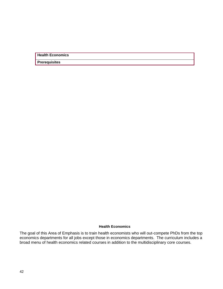**Health Economics**

**Prerequisites**

## **Health Economics**

The goal of this Area of Emphasis is to train health economists who will out-compete PhDs from the top economics departments for all jobs except those in economics departments. The curriculum includes a broad menu of health economics related courses in addition to the multidisciplinary core courses.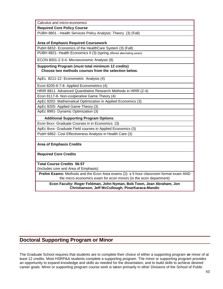Calculus and micro-economics

**Required Core Policy Course**

PUBH 8801 - Health Services Policy Analysis: Theory (3) (Fall)

## **Area of Emphasis Required Coursework**

PubH 6832- Economics of the HealthCare System (3) (Fall)

PUBH 8821- Health Economics II (3) (spring offered alternating years)

ECON 8001-2-3-4- Microeconomic Analysis (8)

**Supporting Program (must total minimum 12 credits) Choose two methods courses from the selection below.** 

ApEc 8211-12- Econometric Analysis (4)

Econ 8205-6-7-8- Applied Econometrics (4)

HRIR 8811- Advanced Quantitative Research Methods in HRIR (2-4)

Econ 8117-8- Non-cooperative Game Theory (4)

ApEc 8202- Mathematical Optimization in Applied Economics (3)

ApEc 8205- Applied Game Theory (3)

ApEc 8991- Dynamic Optimization (3)

**Additional Supporting Program Options**:

Econ 8xxx- Graduate Courses in in Economics (3)

ApEc 8xxx- Graduate Field courses in Applied Economics (3)

PubH 6862- Cost Effectiveness Analysis in Health Care (3)

**Area of Emphasis Credits** 

## **Required Core Credits**

**Total Course Credits 56-57**

(Includes core and Area of Emphasis)

**Prelim Exams:** Methods and the Econ Area exams (2): a 5 hour classroom format exam AND the micro economics exam for econ minors (in the econ department)

**Econ Faculty: Roger Feldman, John Nyman, Bob Town, Jean Abraham, Jon Christianson, Jeff McCullough, PinarKaraca-Mandic** 

## **Doctoral Supporting Program or Minor**

The Graduate School requires that students are to complete their choice of either a supporting program **or** minor of at least 12 credits. Most HSRP&A students complete a supporting program. The minor or supporting program provides an opportunity to expand knowledge and skills as needed for the dissertation, and to build skills to achieve desired career goals. Minor or supporting program course work is taken primarily in other Divisions of the School of Public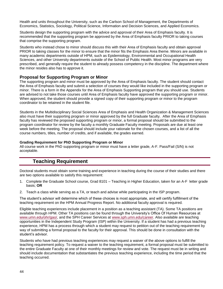Health and units throughout the University, such as the Carlson School of Management, the Departments of Economics, Statistics, Sociology, Political Science, Information and Decision Sciences, and Applied Economics.

Students design the supporting program with the advice and approval of their Area of Emphasis faculty. It is recommended that the supporting program be approved by the Area of Emphasis faculty PRIOR to taking courses that comprise the supporting program.

Students who instead chose to minor should discuss this with their Area of Emphasis faculty and obtain approval PRIOR to taking classes for the minor to ensure that the minor fits the Emphasis Area theme. Minors are available in many academic departments outside of HPM, such as Epidemiology, Environmental and Occupational Health Sciences, and other University departments outside of the School of Public Health. Most minor programs are very prescribed, and generally require the student to already possess competency in the discipline. The department where the minor resides also has to approve it.

## **Proposal for Supporting Program or Minor**

The supporting program and minor must be approved by the Area of Emphasis faculty. The student should contact the Area of Emphasis faculty and submit a selection of courses they would like included in the supporting program or minor. There is a form in the Appendix for the Area of Emphasis Supporting program that you should use. Students are advised to not take those courses until Area of Emphasis faculty have approved the supporting program or minor. When approved, the student should provide a signed copy of their supporting program or minor to the program coordinator to be retained in the student file.

Students in the Multidisciplinary Social Sciences Area of Emphasis and Health Organization & Management Sciences also must have their supporting program or minor approved by the full Graduate faculty. After the Area of Emphasis faculty has reviewed the proposed supporting program or minor, a formal proposal should be submitted to the program coordinator for review by the faculty a monthly Graduate Faculty meeting. Proposals are due at least one week before the meeting. The proposal should include your rationale for the chosen courses, and a list of all the course numbers, titles, number of credits, and if available, the grades earned.

## **Grading Requirement for PhD Supporting Program or Minor**

All course work in the PhD supporting program or minor must have a letter grade, A-F. Pass/Fail (S/N) is not acceptable.

## **Teaching Requirement**

Doctoral students must obtain some training and experience in teaching during the course of their studies and there are two options available to satisfy this requirement:

- 1. Complete the Graduate School course, Grad 8101 Teaching in Higher Education, taken for an A-F letter grade basis; **OR**
- 2. Teach a class while serving as a TA, or teach and advise while participating in the ISP program.

The student's advisor will determine which of these choices is most appropriate, and will certify fulfillment of the teaching requirement on the HPM Annual Progress Report. No additional faculty approval is required.

Eligible teaching experiences include placement in a position as a teaching assistant (TA). Some TA positions are available through HPM. Other TA positions can be found through the University's Office Of Human Resources at [www.umn.edu/ohr/gao/,](http://www1.umn.edu/ohr/gao/) and the SPH Career Services at [www.sph.umn.edu/career.](http://www.sph.umn.edu/career/) Also available are teaching opportunities in the Independent Study Program (ISP) within the University. If a student has had a previous teaching experience, HPM has a process through which a student may request to petition out of the teaching requirement by way of submitting a formal proposal to the faculty for their approval. This should be done in consultation with the student's advisor.

Students who have had previous teaching experiences may request a waiver of the above options to fulfill the teaching requirement policy. To request a waiver to the teaching requirement, a formal proposal must be submitted to the entire Graduate Faculty at one of their monthly meetings for review and vote. The request must be in writing and should include documentation that substantiates the previous teaching experience, including the time period that the teaching occurred.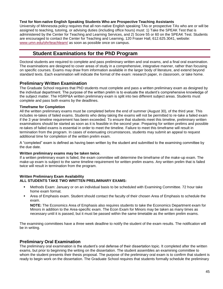## **Test for Non-native English Speaking Students Who are Prospective Teaching Assistants**

University of Minnesota policy requires that all non-native English speaking TAs or prospective TAs who are or will be assigned to teaching, tutoring, or advising duties (including office hours) must: 1) Take the SPEAK Test that is administered by the Center for Teaching and Learning Services, and 2) Score 55 or 60 on the SPEAK Test. Students are encouraged to contact the Center for Teaching and Learning, 120 Fraser Hall, 612.625.3041, website: [www.umn.edu/ohr/teachlearn/](http://www.umn.edu/ohr/teachlearn/) as soon as possible once on campus.

## **Student Examinations for the PhD Program**

Doctoral students are required to complete and pass preliminary written and oral exams, and a final oral examination. The examinations are designed to cover areas of study in a comprehensive, integrative manner, rather than focusing on specific courses. Exams may draw from information available in the larger body of literature, and extend beyond standard texts. Each examination will indicate the format of the exam: research paper, in classroom, or take home.

## **Preliminary Written Examination**

The Graduate School requires that PhD students must complete and pass a written preliminary exam as designed by the individual department. The purpose of the written prelim is to evaluate the student's comprehensive knowledge of the subject matter. The HSRP&A written preliminary exam is split into two different subject areas. Students must complete and pass both exams by the deadlines.

## **Timeframe for Completion**

All the written preliminary exams must be completed before the end of summer (August 30), of the third year. This includes re-takes of failed exams. Students who delay taking the exams will not be permitted to re-take a failed exam if the 3 year timeline requirement has been exceeded. To ensure that students meet this timeline, preliminary written examinations should be started as soon as it is feasible in the second year. Preparing for written prelims and possible re-takes of failed exams is essential in order to meet the timeline. Failure to meet this timeframe will result in termination from the program. In cases of extenuating circumstances, students may submit an appeal to request additional time for completion of the written prelim exam.

A "completed" exam is defined as having been written by the student and submitted to the examining committee by the due date.

## **Written preliminary exams may be taken twice**.

If a written preliminary exam is failed, the exam committee will determine the timeframe of the make-up exam. The make-up exam is subject to the same timeline requirement for written prelim exams. Any written prelim that is failed twice will result in termination from the program.

## **Written Preliminary Exam Availability ALL STUDENTS TAKE TWO WRITTEN PRELIMINARY EXAMS:**

- Methods Exam: January or on an individual basis to be scheduled with Examining Committee. 72 hour take home exam format.
- Area of Emphasis exam. Student should contact the faculty of their chosen Area of Emphasis to schedule the exam.

**NOTE:** The Economics Area of Emphasis also requires students to take the Economics Department exam for Minors in addition to the Area-specific exam. The Econ Exam for Minors may be taken as many times as necessary until it is passed, but it must be passed within the same timetable as the written prelim exams.

The examining committees have a three week deadline to notify the student of the exam results. The notification will be in writing.

## **Preliminary Oral Examination**

The preliminary oral examination is the student's oral defense of their dissertation topic. It completed after the written exams, but prior to beginning the writing on the dissertation. The student assembles an examining committee to whom the student presents their thesis proposal. The purpose of the preliminary oral exam is to confirm that student is ready to begin work on the dissertation. The Graduate School requires that students formally schedule the preliminary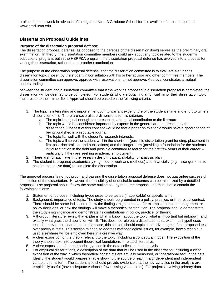oral at least one week in advance of taking the exam. A Graduate School form is available for this purpose at: www.grad.umn.edu.

## **Dissertation Proposal Guidelines**

## **Purpose of the dissertation proposal defense**

The dissertation proposal defense (as opposed to the defense of the dissertation itself) serves as the preliminary oral examination. In theory, the dissertation committee members could ask about any topic related to the student's educational program, but in the HSRP&A program, the dissertation proposal defense has evolved into a process for vetting the dissertation, rather than a broader examination.

The purpose of the dissertation proposal defense is for the dissertation committee is to evaluate a student's dissertation topic chosen by the student in consultation with his or her advisor and other committee members. The dissertation committee can approve, approve with reservations, or not approve. Approval constitutes a mutual understanding

between the student and dissertation committee that if the work as proposed in dissertation proposal is completed, the dissertation will be deemed to be completed. For students who are obtaining an official minor their dissertation topic must relate to their minor field. Approval should be based on the following criteria:

- 1. The topic is interesting and important enough to warrant expenditure of the student's time and effort to write a dissertation on it. There are several sub-dimensions to this criterion.
	- a. The topic is original enough to represent a substantial contribution to the literature.
	- b. The topic would be considered important by experts in the general area addressed by the dissertation. One test of this concept would be that a paper on this topic would have a good chance of being published in a reputable journal.
	- c. The topic fits well with the student's research interests.
	- d. The topic will serve the student well in the short-run (possible dissertation grant funding, placement in first post-doctoral job, and publications) and the longer term (providing a foundation for the students initial reputation in the field and possible continued research for the first few years of their career – particularly if they are seeking academic employment).
- 2. There are no fatal flaws in the research design, data availability, or analysis plan
- 3. The student is prepared academically (e.g., coursework and methods) and financially (e.g., arrangements to acquire expensive data) to complete the dissertation.

The approval process is not foolproof, and passing the dissertation proposal defense does not guarantee successful completion of the dissertation. However, the possibility of undesirable outcomes can be minimized by a detailed proposal. The proposal should follow the same outline as any research proposal and thus should contain the following sections:

- 1. Statement of purpose, including hypotheses to be tested (if applicable) or specific aims.
- 2. Background, importance of topic. The study should be grounded in a policy, practice, or theoretical context. There should be some indication of how the findings might be used, for example, to make management or policy decisions, or how the findings will make a theoretical contribution. The proposal should demonstrate the study's significance and demonstrate its contributions in policy, practice, or theory.
- 3. A thorough literature review that explains what is known about the topic, what is important but unknown, and exactly what gaps the dissertation will fill. This does not rule out a dissertation that examines hypotheses tested in previous research, but in that case, this section should explain the advantages of the proposed test over previous tests. This section might also address methodological issues, for example, how a technique used elsewhere will be employed here in a creative way.
- 4. A clear exposition of the theory relevant to the topic, including a conceptual model. The exposition of the theory should take into account theoretical foundations in related literatures.
- 5. A clear exposition of the methodology used in the data collection and analysis.
- 6. For empirical dissertations, a description of the data that will be used in the dissertation, including a clear exposition of the way in which theoretical constructs are actually measured, or "operationalized" in the data. Ideally, the student would prepare a table showing the source of each major dependent and independent variable and its form. The student also should provide evidence that the key variables in the analysis are empirically useful (have adequate variance, few missing values, etc.). For projects involving primary data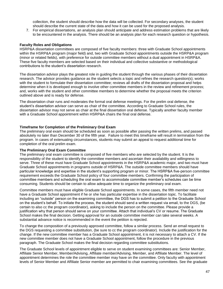collection, the student should describe how the data will be collected. For secondary analyses, the student should describe the current state of the data and how it can be used for the proposed analysis.

7. For empirical dissertations, an analysis plan should anticipate and address estimation problems that are likely to be encountered in the analysis. There should be an analysis plan for each research question or hypothesis.

## **Faculty Roles and Obligations**

HSRP&A dissertation committees are composed of five faculty members: three with Graduate School appointments within the HSRP&A program (major field) and, two with Graduate School appointments outside the HSRP&A program (minor or related fields), with preference for outside committee members without a dual appointment in HSRP&A. These five faculty members are selected based on their individual and collective substantive or methodological contributions to the student's dissertation research.

The dissertation advisor plays the greatest role in guiding the student through the various phases of their dissertation research. The advisor provides guidance as the student selects a topic and refines the research question(s); works with the student to formulate their dissertation committee; reviews all drafts of the dissertation proposal and helps determine when it is developed enough to involve other committee members in the review and refinement process; and, works with the student and other committee members to determine whether the proposal meets the criterion outlined above and is ready for defense.

The dissertation chair runs and moderates the formal oral defense meetings. For the prelim oral defense, the student's dissertation advisor can serve as chair of the committee. According to Graduate School rules, the dissertation advisor may not serve as chair at the final dissertation oral defense. Typically another faculty member with a Graduate School appointment within HSRP&A chairs the final oral defense.

## **Timeframe for Completion of the Preliminary Oral Exam**

The preliminary oral exam should be scheduled as soon as possible after passing the written prelims, and passed absolutely no later than December 30 of the fifth year. Failure to meet this timeframe will result in termination from the program. In cases of extenuating circumstances, students may submit an appeal to request additional time for completion of the oral prelim exam.

## **The Preliminary Oral Exam Committee**

The preliminary oral exam committee is composed of five members who are selected by the student. It is the responsibility of the student to identify the committee members and ascertain their availability and willingness to serve. Three of these must have Graduate School appointments in the HSRP&A academic major, and two must have Graduate School appointments in programs outside of HSRP&A. The outside committee members should have particular knowledge and expertise in the student's supporting program or minor. The HSRP&A five-person committee requirement exceeds the Graduate School policy of four committee members. Confirming the participation of committee members and scheduling the oral exam to accommodate committee member's schedules can be time consuming. Students should be certain to allow adequate time to organize the preliminary oral exam.

Committee members must have eligible Graduate School appointments. In some cases, the fifth member need not have a Graduate School appointment if he or she has particular expertise in the dissertation topic. To facilitate including an "outside" person on the examining committee, the DGS has to submit a petition to the Graduate School on the student's behalf. To initiate the process, the student should send a written request via email, to the DGS, (be certain to also cc the program coordinator), asking to include the person on the committee. Please provide a justification why that person should serve on your committee. Attach that individual's CV or resume. The Graduate School makes the final decision. Getting approval for an outside committee member can take several weeks. A substantial advance notice is recommended in the event the petition is rejected.

To change the composition of a previously approved committee, follow a similar process. Send an email request to the DGS requesting a committee substitution, (be sure to cc the program coordinator). Include the justification for the change. If the new committee member has a Graduate School appointment, it is not necessary to attach a CV. If the new committee member does not have a Graduate School appointment, follow the procedure in the previous paragraph. The Graduate School makes the final decision regarding committee substitutions.

The Graduate School levels of appointment eligible to serve on student examining committees are: Senior Member, Affiliate Senior Member, Member/Advising, Affiliate member/Advising, Member, and Affiliate Member. The level of appointment determines the role the committee member may have on the committee. Only faculty with appointment levels of Senior Member and Affiliate Senior member are permitted to chair examining committees. See the graduate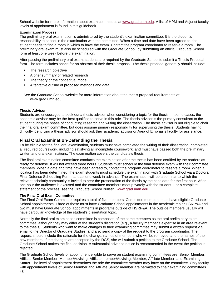School website for more information about exam committees at [www.grad.umn.edu.](http://www.grad.umn.edu/) A list of HPM and Adjunct faculty levels of appointment is found in this guidebook.

## **Examination Process**

The preliminary oral examination is administered by the student's examination committee. It is the student's responsibility to schedule the examination with the committee. When a time and date have been agreed to, the student needs to find a room in which to have the exam. Contact the program coordinator to reserve a room. The preliminary oral exam must also be scheduled with the Graduate School, by submitting an official Graduate School form at least one week before the examination.

After passing the preliminary oral exam, students are required by the Graduate School to submit a Thesis Proposal form. The form includes space for an abstract of their thesis proposal. The thesis proposal generally should include:

- The research objective
- A brief summary of related research
- The theory or the conceptual model
- A tentative outline of proposed methods and data

See the Graduate School website for more information about the thesis proposal requirements at: [www.grad.umn.edu.](http://www.grad.umn.edu/)

## **Thesis Advisor**

Students are encouraged to seek out a thesis advisor when considering a topic for the thesis. In some cases, the academic advisor may be the best qualified to serve in this role. The thesis advisor is the primary consultant to the student during the phase of conducting research and writing the dissertation. The thesis advisor is not eligible to chair the final oral exam committee, but does assume primary responsibility for supervising the thesis. Students having difficulty identifying a thesis advisor should ask their academic advisor or Area of Emphasis faculty for assistance.

## **Final Oral Examination-Defending the Thesis**

To be eligible for the final oral examination, students must have completed the writing of their dissertation, completed all required coursework, including satisfying all incomplete coursework, and must have passed both the preliminary written and oral examinations. The examination covers the candidate's thesis.

The final oral examination committee conducts the examination after the thesis has been certified by the readers as ready for defense. It will not exceed three hours. Students must schedule the final defense exam with their committee members. When a date and time have been agreed to, contact the program coordinator to reserve a room. When a location has been determined, the exam students must schedule the examination with Graduate School via a Doctoral Final Defense Scheduling Form, at least one week in advance. The examination will be a seminar to which the relevant scholarly community is invited to hear the presentation of the thesis by the candidate for the first hour. After one hour the audience is excused and the committee members meet privately with the student. For a complete statement of the process, see the Graduate School Bulletin, [www.grad.umn.edu.](http://www.grad.umn.edu/)

## **The Final Oral Exam Committee**

The Final Oral Exam Committee requires a total of five members. Committee members must have eligible Graduate School appointments: Three of these must have Graduate School appointments in the academic major HSRP&A and two must have Graduate School appointments in programs outside of HSRP&A. The outside members usually will have particular knowledge of the student's dissertation topic.

Normally the final oral examination committee is composed of the same members as the oral preliminary exam committee, although they may differ at the student's discretion (e.g., a faculty member's expertise in an area relevant to the thesis). Students who want to make changes to their examining committee may submit a written request via email to the Director of Graduate Studies, and also send a copy of the request to the program coordinator. The request should include the rationale for the change, names of members who will be removed, and the names of the new members. If the changes are accepted by the DGS, she will submit a petition to the Graduate School. The Graduate School makes the final decision. A substantial advance notice is recommended in the event the petition is rejected.

48 The Graduate School levels of appointment eligible to serve on student examining committees are: Senior Member, Affiliate Senior Member, Member/Advising, Affiliate member/Advising, Member, Affiliate Member, and Examining Status. The level of appointment determines the role the committee member may have on the committee. Only faculty with appointment levels of Senior Member and Affiliate Senior member are permitted to chair examining committees.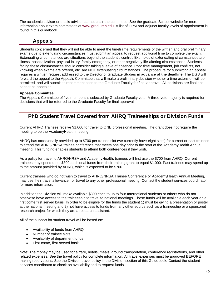The academic advisor or thesis advisor cannot chair the committee. See the graduate School website for more information about exam committees at [www.grad.umn.edu.](http://www.grad.umn.edu/) A list of HPM and Adjunct faculty levels of appointment is found in this guidebook.

## **Appeals**

Students concerned that they will not be able to meet the timeframe requirements of the written and oral preliminary exams due to extenuating circumstances must submit an appeal to request additional time to complete the exam. Extenuating circumstances are situations beyond the student's control. Examples of extenuating circumstances are illness, hospitalization, physical injury, family emergency, or other negatively life-altering circumstances. Students facing these circumstances should consider taking a leave of absence. Poor time management, job conflicts, not knowing when exams are offered, etc. are NOT extenuating circumstances. The procedure for submitting an appeal requires a written request addressed to the Director of Graduate Studies **in advance of the deadline**. The DGS will forward the appeal to the Appeals Committee that will make a preliminary decision whether a time extension will be permitted, and will submit its recommendation to the Graduate Faculty for final approval. All decisions are final and cannot be appealed.

## **Appeals Committee**

The Appeals Committee of five members is selected by Graduate Faculty vote. A three-vote majority is required for decisions that will be referred to the Graduate Faculty for final approval.

## **PhD Student Travel Covered from AHRQ Traineeships or Division Funds**

Current AHRQ Trainees receive \$1,000 for travel to ONE professional meeting. The grant does not require the meeting to be the AcademyHealth meeting.

AHRQ has occasionally provided up to \$700 per trainee slot (we currently have eight slots) for current or past trainees to attend the AHRQ/NRSA trainee conference that meets one day prior to the start of the AcademyHealth Annual meeting. This funding enables students to attend both conferences if they wish.

As a policy for travel to AHRQ/NRSA and AcademyHealth, trainees will first use the \$700 from AHRQ. Current trainees may spend up to \$300 additional funds from their training grant to equal \$1,000. Past trainees may spend up to the amount provided by AHRQ, which is expected to be \$700.

Current trainees who do not wish to travel to AHRQ/NRSA Trainee Conference or AcademyHealth Annual Meeting, may use their travel allowance for travel to any other professional meeting. Contact the student services coordinator for more information.

In addition the Division will make available \$800 each to up to four International students or others who do not otherwise have access to the traineeship to travel to national meetings. These funds will be available each year on a first come first served basis. In order to be eligible for the funds the student 1) must be giving a presentation or poster at the national meeting and 2) not have access to funds from any other source such as a traineeship or a sponsored research project for which they are a research assistant.

All of the support for student travel will be based on:

- Availability of funds from AHRQ  $\bullet$
- Number of trainee slots
- Availability of department funds
- First-come, first-served basis

Note: The money may be used for airfare, hotels, meals, ground transportation, conference registrations, and other related expenses. See the travel policy for complete information. All travel expenses must be approved BEFORE making reservations. See the Division travel policy in the Division section of this Guidebook. Contact the student services coordinator to check on availability and to request funds.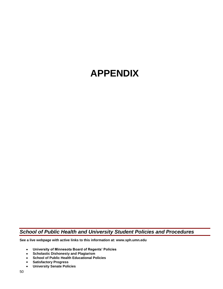## **APPENDIX**

*School of Public Health and University Student Policies and Procedures*

**See a live webpage with active links to this information at: [www.sph.umn.edu](http://www.sph.umn.edu/)**

- **[University of Minnesota Board of Regents' Policies](http://www.sph.umn.edu/current/policies/home.html#regents#regents)**  $\bullet$
- **[Scholastic Dishonesty and Plagiarism](http://www.sph.umn.edu/current/policies/home.html#dishonesty#dishonesty)**  $\bullet$
- **[School of Public Health Educational Policies](http://www.sph.umn.edu/current/policies/home.html#edpolicy#edpolicy)**
- **[Satisfactory Progress](http://www.sph.umn.edu/current/policies/home.html#progress#progress)**  $\bullet$
- **[University Senate Policies](http://www.sph.umn.edu/current/policies/home.html#senate#senate)** $\bullet$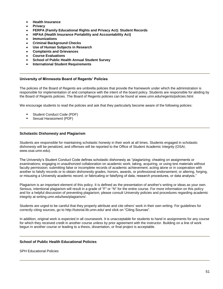- **[Health Insurance](http://www.sph.umn.edu/current/policies/home.html#ins#ins)**
- **[Privacy](http://www.sph.umn.edu/current/policies/home.html#privacy#privacy)**
- **[FERPA \(Family Educational Rights and Privacy Act\): Student Records](http://www.sph.umn.edu/current/policies/home.html#ferpa#ferpa)**
- **[HIPAA \(Health Insurance Portability and Accountability Act\)](http://www.sph.umn.edu/current/policies/home.html#hipaa#hipaa)**
- **[Immunizations](http://www.sph.umn.edu/current/policies/home.html#imm#imm)**
- **[Criminal Background Checks](http://www.sph.umn.edu/current/policies/home.html#criminal#criminal)**
- **[Use of Human Subjects in Research](http://www.sph.umn.edu/current/policies/home.html#human#human)**
- **[Complaints and Grievances](http://www.sph.umn.edu/current/policies/home.html#complaints#complaints)**
- **[Course Evaluations](http://www.sph.umn.edu/current/policies/home.html#eval#eval)**
- **[School of Public Health Annual Student Survey](http://www.sph.umn.edu/current/policies/home.html#eval#eval)**
- **[International Student Requirements](http://www.sph.umn.edu/current/policies/home.html#int#int)**

## **University of Minnesota Board of Regents' Policies**

The policies of the Board of Regents are umbrella policies that provide the framework under which the administration is responsible for implementation of and compliance with the intent of the board policy. Students are responsible for abiding by the Board of Regents policies. The Board of Regents policies can be found at [www.umn.edu/regents/policies.html.](http://www1.umn.edu/regents/policies.html)

We encourage students to read the policies and ask that they particularly become aware of the following policies:

- [Student Conduct Code](http://www1.umn.edu/regents/policies/academic/Student_Conduct_Code.pdf) (PDF)
- [Sexual Harassment](http://www1.umn.edu/regents/policies/humanresources/SexHarassment.pdf) (PDF)

## **Scholastic Dishonesty and Plagiarism**

Students are responsible for maintaining scholastic honesty in their work at all times. Students engaged in scholastic dishonesty will be penalized, and offenses will be reported to the Office of Student Academic Integrity (OSAI, [www.osai.umn.edu\)](http://www.osai.umn.edu/).

The University's Student Conduct Code defines scholastic dishonesty as "plagiarizing; cheating on assignments or examinations; engaging in unauthorized collaboration on academic work; taking, acquiring, or using test materials without faculty permission; submitting false or incomplete records of academic achievement; acting alone or in cooperation with another to falsify records or to obtain dishonestly grades, honors, awards, or professional endorsement; or altering, forging, or misusing a University academic record; or fabricating or falsifying of data, research procedures, or data analysis."

Plagiarism is an important element of this policy. It is defined as the presentation of another's writing or ideas as your own. Serious, intentional plagiarism will result in a grade of "F" or "N" for the entire course. For more information on this policy and for a helpful discussion of preventing plagiarism, please consult University policies and procedures regarding academic integrity at [writing.umn.edu/tww/plagiarism/.](http://writing.umn.edu/tww/plagiarism/)

Students are urged to be careful that they properly attribute and cite others' work in their own writing. For guidelines for correctly citing sources, go to<http://tutorial.lib.umn.edu/> and click on "Citing Sources".

In addition, original work is expected in all coursework. It is unacceptable for students to hand in assignments for any course for which they received credit in another course unless by prior agreement with the instructor. Building on a line of work begun in another course or leading to a thesis, dissertation, or final project is acceptable.

## **School of Public Health Educational Policies**

[SPH Educational Policies](http://www.sph.umn.edu/faculty/resources/edpolicy/home.html)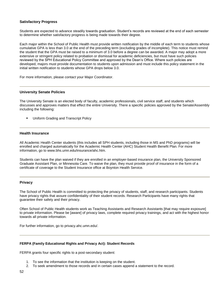## **Satisfactory Progress**

Students are expected to advance steadily towards graduation. Student's records are reviewed at the end of each semester to determine whether satisfactory progress is being made towards their degree.

Each major within the School of Public Health must provide written notification by the middle of each term to students whose cumulative GPA is less than 3.0 at the end of the preceding term (excluding grades of incomplete). This notice must remind the student that the GPA must be raised to a minimum of 3.0 before a degree can be awarded. A major may adopt a more extensive or stringent policy related to probation or dismissal for academic deficiencies, but must have such policies reviewed by the SPH Educational Policy Committee and approved by the Dean's Office. Where such policies are developed, majors must provide documentation to students upon admission and must include this policy statement in the initial written notification to students whose GPA drops below 3.0.

For more information, please contact your Major Coordinator.

#### **University Senate Policies**

The University Senate is an elected body of faculty, academic professionals, civil service staff, and students which discusses and approves matters that effect the entire University. There a specific [policies](http://www1.umn.edu/usenate/usen/policies.html) approved by the Senate/Assembly including the following:

[Uniform Grading and Transcript Policy](http://www.fpd.finop.umn.edu/groups/senate/documents/policy/gradingpolicy.html)

#### **Health Insurance**

All Academic Health Center students (this includes all SPH students, including those in MS and PhD programs) will be enrolled and charged automatically for the Academic Health Center (AHC) Student Health Benefit Plan. For more information, go to [www.bhs.umn.edu/insurance/ahc.htm.](http://www.bhs.umn.edu/insurance/ahc.htm)

Students can have the plan waived if they are enrolled in an employer-based insurance plan, the University Sponsored Graduate Assistant Plan, or Minnesota Care. To waive the plan, they must provide proof of insurance in the form of a certificate of coverage to the Student Insurance office at Boynton Health Service.

#### **Privacy**

The School of Public Health is committed to protecting the privacy of students, staff, and research participants. Students have privacy rights that assure confidentiality of their student records. Research Participants have many rights that guarantee their safety and their privacy.

Often School of Public Health students work as Teaching Assistants and Research Assistants [that may require exposure] to private information. Please be [aware] of privacy laws, complete required privacy trainings, and act with the highest honor towards all private information.

For further information, go to [privacy.ahc.umn.edu/.](http://privacy.ahc.umn.edu/)

#### **FERPA (Family Educational Rights and Privacy Act): Student Records**

FERPA grants four specific rights to a post-secondary student:

- 1. To see the information that the institution is keeping on the student.
- 2. To seek amendment to those records and in certain cases append a statement to the record.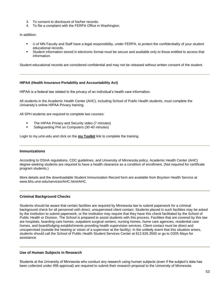- 3. To consent to disclosure of his/her records.
- 4. To file a complaint with the FERPA Office in Washington.

In addition:

- U of MN Faculty and Staff have a legal responsibility, under FERPA, to protect the confidentiality of your student educational records.
- Student information stored in electronic format must be secure and available only to those entitled to access that information.

Student educational records are considered confidential and may not be released without written consent of the student.

#### **HIPAA (Health Insurance Portability and Accountability Act)**

HIPAA is a federal law related to the privacy of an individual's health care information.

All students in the Academic Health Center (AHC), including School of Public Health students, must complete the University's online HIPAA Privacy training.

All SPH students are required to complete two courses:

- The HIPAA Privacy and Security video (7 minutes)
- Safeguarding PHI on Computers (30-40 minutes)

Login to [my.umn.edu](https://www.myu.umn.edu/metadot/index.pl) and click on the **my Toolkit** link to complete the training.

#### **Immunizations**

According to OSHA regulations, CDC guidelines, and University of Minnesota policy, Academic Health Center (AHC) degree-seeking students are required to have a health clearance as a condition of enrollment. (Not required for certificate program students.)

More details and the downloadable Student Immunization Record form are available from Boynton Health Service at [www.bhs.umn.edu/services/AHC.htm#AHC.](http://www.bhs.umn.edu/services/AHC.htm#AHC)

## **Criminal Background Checks**

Students should be aware that certain facilities are required by Minnesota law to submit paperwork for a criminal background check for all personnel with direct, unsupervised client contact. Students placed in such facilities may be asked by the institution to submit paperwork, or the institution may require that they have this check facilitated by the School of Public Health or Division. The School is prepared to assist students with this process. Facilities that are covered by this law are hospitals, boarding care homes, outpatient surgical centers, nursing homes, home care agencies, residential care homes, and board/lodging establishments providing health supervision services. Client contact must be direct and unsupervised (outside the hearing or vision of a supervisor at the facility). In the unlikely event that this situation arises, students should call the School of Public Health Student Services Center at 612.626.3500 or go to D305 Mayo for assistance.

## **Use of Human Subjects in Research**

Students at the University of Minnesota who conduct any research using human subjects (even if the subject's data has been collected under IRB approval) are required to submit their research proposal to the University of Minnesota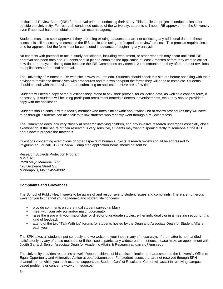Institutional Review Board (IRB) for approval prior to conducting their study. This applies to projects conducted inside or outside the University. For research conducted outside of the University, students still need IRB approval from the University even if approval has been obtained from an external agency.

Students must also seek approval if they are using existing datasets and are not collecting any additional data. In these cases, it is still necessary to complete the IRB application using the "expedited review" process. This process requires less time for approval, but the form must be completed in advance of beginning any analysis.

No contacts with potential or actual study participants, including recruitment, or other research may occur until final IRB approval has been obtained. Students should plan to complete the application at least 2 months before they want to collect new data or analyze existing data because the IRB Committees only meet 1-2 times/month and they often request revisions to applications before final approval.

The University of Minnesota IRB web site is [www.irb.umn.edu.](http://www.irb.umn.edu/) Students should check this site out before speaking with their advisor to familiarize themselves with procedures and to download/print the forms they will need to complete. Students should consult with their advisor before submitting an application. Here are a few tips:

Students will need a copy of the questions they intend to ask, their protocol for collecting data, as well as a consent form, if necessary. If students will be using participant recruitment materials (letters, advertisements, etc.), they should provide a copy with the application.

Students should consult with a faculty member who does similar work about what kind of review procedures they will have to go through. Students can also talk to fellow students who recently went through a review process.

The Committee does look very closely at research involving children, and any invasive research undergoes especially close examination. If the nature of their research is very sensitive, students may want to speak directly to someone at the IRB about how to prepare the materials.

Questions concerning exemptions or other aspects of human subjects research review should be addressed to [irb@umn.edu](mailto:irb@umn.edu) or call 612.626.5654. Completed application forms should be sent to:

Research Subjects Protection Program MMC 820 D528 Mayo Memorial Bldg 420 Delaware Street SE Minneapolis, MN 55455-0392

## **Complaints and Grievances**

The School of Public Health seeks to be aware of and responsive to student issues and complaints. There are numerous ways for you to channel your academic and student life concerns:

- provide comments on the annual student survey (in May)
- meet with your advisor and/or major coordinator
- **Faise the issue with your major chair or director of graduate studies, either individually or in a meeting set up for this** kind of feedback
- attend of the two "Talk With Us" forums for students hosted by the Dean and Associate Dean for Student Affairs each year

The SPH takes all student input seriously and we welcome your input in any of these ways. If the matter is not handled satisfactorily by any of these methods, or if the issue is particularly widespread or serious, please make an appointment with Judith Garrard, Senior Associate Dean for Academic Affairs & Research at [jgarrard@umn.edu.](mailto:jgarrard@umn.edu)

The University provides resources as well. Report incidents of bias, discrimination, or harassment to the University Office of Equal Opportunity and Affirmative Action at [eoaffact.umn.edu.](http://eoaffact.umn.edu/) For student issues that are not resolved through SPH channels or for which you seek external support, the Student Conflict Resolution Center will assist in resolving campusbased problems or concerns [www.umn.edu/sos/.](http://www1.umn.edu/sos/)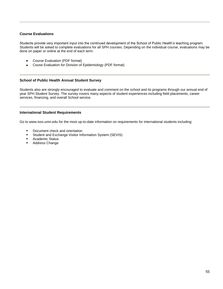## **Course Evaluations**

Students provide very important input into the continued development of the School of Public Health's teaching program. Students will be asked to complete evaluations for all SPH courses. Depending on the individual course, evaluations may be done on paper or online at the end of each term.

- [Course Evaluation](http://www.sph.umn.edu/img/assets/9143/sph_eval1.pdf) (PDF format)  $\bullet$
- [Couse Evaluation for Division of Epidemiology](http://www.sph.umn.edu/img/assets/9143/sph_eval.pdf) (PDF format)  $\bullet$

## **School of Public Health Annual Student Survey**

Students also are strongly encouraged to evaluate and comment on the school and its programs through our annual end of year SPH Student Survey. The survey covers many aspects of student experiences including field placements, career services, financing, and overall School service.

## **International Student Requirements**

Go to [www.isss.umn.edu](http://www.isss.umn.edu/) for the most up-to-date information on requirements for international students including:

- **•** Document check and orientation
- Student and Exchange Visitor Information System (SEVIS)
- **-** Academic Status
- **Address Change**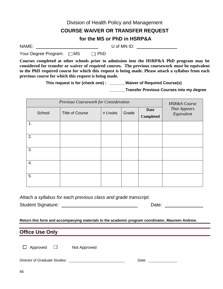|                                                                                                                | Division of Health Policy and Management                                                                                                                                                      |  |
|----------------------------------------------------------------------------------------------------------------|-----------------------------------------------------------------------------------------------------------------------------------------------------------------------------------------------|--|
|                                                                                                                | <b>COURSE WAIVER OR TRANSFER REQUEST</b>                                                                                                                                                      |  |
|                                                                                                                | for the MS or PhD in HSRP&A                                                                                                                                                                   |  |
| NAME: A CONTROLLER STATES AND THE STATES OF THE STATES OF THE STATES OF THE STATES OF THE STATES OF THE STATES | $U$ of MN ID: $\qquad \qquad \qquad$                                                                                                                                                          |  |
| Your Degree Program: $\Box$ MS $\Box$ PhD                                                                      |                                                                                                                                                                                               |  |
|                                                                                                                | Courses completed at other schools prior to admission into the HSRP&A PhD program may be<br>considered for transfer or waiver of required courses. The previous coursework must be equivalent |  |

**to the PhD required course for which this request is being made. Please attach a syllabus from each previous course for which this request is being made.** 

**This request is for (check one) : \_\_\_\_\_\_\_Waiver of Required Course(s)**

 **\_\_\_\_\_\_\_Transfer Previous Courses into my degree**

| Previous Coursework for Consideration |        |                        |           |       | <b>HSR&amp;A</b> Course         |                                   |
|---------------------------------------|--------|------------------------|-----------|-------|---------------------------------|-----------------------------------|
|                                       | School | <b>Title of Course</b> | # Credits | Grade | <b>Date</b><br><b>Completed</b> | <b>That Appears</b><br>Equivalent |
| 1.                                    |        |                        |           |       |                                 |                                   |
| 2.                                    |        |                        |           |       |                                 |                                   |
| 3.                                    |        |                        |           |       |                                 |                                   |
| 4.                                    |        |                        |           |       |                                 |                                   |
| 5.                                    |        |                        |           |       |                                 |                                   |

*Attach a syllabus for each previous class and grade transcript.*

Student Signature: Date:

**Return this form and accompanying materials to the academic program coordinator, Maureen Andrew.**

## **Office Use Only**

 $\Box$  Approved  $\Box$  Not Approved

Director of Graduate Studies: Date: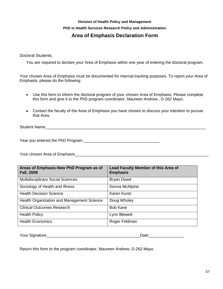## **Division of Health Policy and Management PhD in Health Services Research Policy and Administration Area of Emphasis Declaration Form**

Doctoral Students,

You are required to declare your Area of Emphasis within one year of entering the doctoral program.

Your chosen Area of Emphasis must be documented for internal tracking purposes. To report your Area of Emphasis, please do the following:

- Use this form to inform the doctoral program of your chosen Area of Emphasis. Please complete  $\bullet$ this form and give it to the PhD program coordinator, Maureen Andrew., D-262 Mayo.
- Contact the faculty of the Area of Emphasis you have chosen to discuss your intention to pursue that Area.

Student Name

Year you entered the PhD Program \_\_\_\_\_\_\_\_\_\_\_\_\_\_\_\_\_\_\_\_\_\_\_\_\_\_\_\_\_\_\_\_\_\_

Your chosen Area of Emphasis\_\_\_\_\_\_\_\_\_\_\_\_\_\_\_\_\_\_\_\_\_\_\_\_\_\_\_\_\_\_\_\_\_\_\_\_\_\_\_\_\_\_\_\_\_\_\_\_\_\_\_\_\_\_\_\_\_\_\_\_

| Areas of Emphasis-New PhD Program as of<br><b>Fall, 2008</b> | <b>Lead Faculty Member of this Area of</b><br><b>Emphasis</b> |
|--------------------------------------------------------------|---------------------------------------------------------------|
| <b>Multidisciplinary Social Sciences</b>                     | <b>Bryan Dowd</b>                                             |
| Sociology of Health and Illness                              | Donna McAlpine                                                |
| <b>Health Decision Science</b>                               | Karen Kuntz                                                   |
| Health Organization and Management Science                   | Doug Wholey                                                   |
| <b>Clinical Outcomes Research</b>                            | <b>Bob Kane</b>                                               |
| <b>Health Policy</b>                                         | Lynn Blewett                                                  |
| <b>Health Economics</b>                                      | Roger Feldman                                                 |

| <b>Vours</b><br><br>ااد.<br>יוט ווטט ו | ٦ш.<br>--<br>- |
|----------------------------------------|----------------|
|                                        |                |

Return this form to the program coordinator, Maureen Andrew, D-262 Mayo.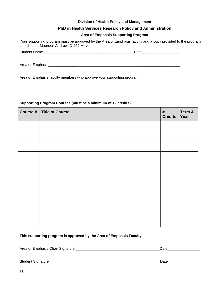## **Division of Health Policy and Management**

## **PhD in Health Services Research Policy and Administration**

## **Area of Emphasis Supporting Program**

Your supporting program must be approved by the Area of Emphasis faculty and a copy provided to the program coordinator, Maureen Andrew, D-262 Mayo.

Student Name\_\_\_\_\_\_\_\_\_\_\_\_\_\_\_\_\_\_\_\_\_\_\_\_\_\_\_\_\_\_\_\_\_\_\_\_\_\_\_\_\_\_\_\_\_Date\_\_\_\_\_\_\_\_\_\_\_\_\_\_\_\_\_\_\_

Area of Emphasis extended to the set of the set of the set of the set of the set of the set of the set of the set of the set of the set of the set of the set of the set of the set of the set of the set of the set of the se

Area of Emphasis faculty members who approve your supporting program: \_\_\_\_\_\_\_\_\_\_\_\_\_\_\_\_\_

\_\_\_\_\_\_\_\_\_\_\_\_\_\_\_\_\_\_\_\_\_\_\_\_\_\_\_\_\_\_\_\_\_\_\_\_\_\_\_\_\_\_\_\_\_\_\_\_\_\_\_\_\_\_\_\_\_\_\_\_\_\_\_\_\_\_\_\_\_\_\_\_\_\_\_\_\_\_\_\_

# **Course # Title of Course # Credits Term & Year**

## **Supporting Program Courses (must be a minimum of 12 credits)**

## **This supporting program is approved by the Area of Emphasis Faculty**

Area of Emphasis Chair Signature\_\_\_\_\_\_\_\_\_\_\_\_\_\_\_\_\_\_\_\_\_\_\_\_\_\_\_\_\_\_\_\_\_\_\_\_\_\_\_\_\_\_Date\_\_\_\_\_\_\_\_\_\_\_\_\_\_\_\_

Student Signature\_\_\_\_\_\_\_\_\_\_\_\_\_\_\_\_\_\_\_\_\_\_\_\_\_\_\_\_\_\_\_\_\_\_\_\_\_\_\_\_\_\_\_\_\_\_\_\_\_\_\_\_\_\_\_Date\_\_\_\_\_\_\_\_\_\_\_\_\_\_\_\_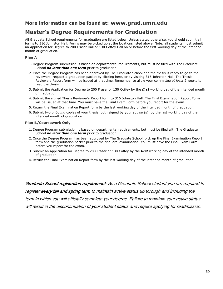## **More information can be found at: www.grad.umn.edu**

## **Master's Degree Requirements for Graduation**

All Graduate School requirements for graduation are listed below. Unless stated otherwise, you should submit all forms to 316 Johnston Hall. Forms may be picked up at the locations listed above. Note: all students must submit an Application for Degree to 200 Fraser Hall or 130 Coffey Hall on or before the first working day of the intended month of graduation.

## **Plan A**

- 1. Degree Program submission is based on departmental requirements, but must be filed with The Graduate School *no later than one term* prior to graduation.
- 2. Once the Degree Program has been approved by The Graduate School and the thesis is ready to go to the reviewers, request a [graduation packet](http://www.grad.umn.edu/current_students/forms/grad_packet/masters/confirm.html) by clicking here, or by visiting 316 Johnston Hall. The Thesis Reviewers Report form will be issued at that time. Remember to allow your committee *at least* 2 weeks to read the thesis.
- 3. Submit the Application for Degree to 200 Fraser or 130 Coffey by the *first* working day of the intended month of graduation.
- 4. Submit the signed Thesis Reviewer's Report form to 316 Johnston Hall. The Final Examination Report Form will be issued at that time. You must have the Final Exam Form before you report for the exam.
- 5. Return the Final Examination Report form by the last working day of the intended month of graduation.
- 6. Submit two *unbound* copies of your thesis, both signed by your adviser(s), by the last working day of the intended month of graduation.

## **Plan B/Coursework Only**

- 1. Degree Program submission is based on departmental requirements, but must be filed with The Graduate School *no later than one term* prior to graduation.
- 2. Once the Degree Program has been approved by The Graduate School, pick up the Final Examination Report form and the [graduation packet](http://www.grad.umn.edu/current_students/forms/grad_packet/masters/confirm.html) prior to the final oral examination. You must have the Final Exam Form before you report for the exam.
- 3. Submit an Application for Degree to 200 Fraser or 130 Coffey by the *first* working day of the intended month of graduation.
- 4. Return the Final Examination Report form by the last working day of the intended month of graduation.

Graduate School registration requirement: As a Graduate School student you are required to register every fall and spring term to maintain active status up through and including the term in which you will officially complete your degree. Failure to maintain your active status will result in the discontinuation of your student status and require applying for readmission.